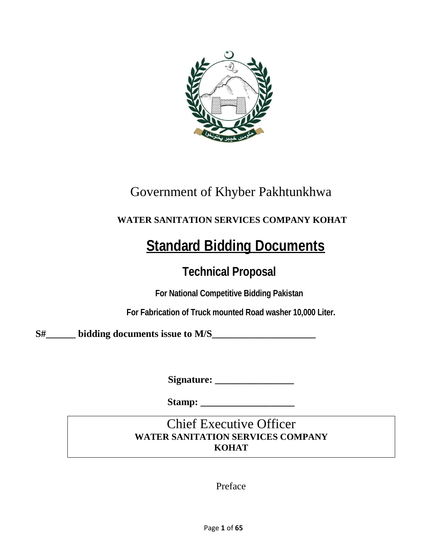

## Government of Khyber Pakhtunkhwa

## **WATER SANITATION SERVICES COMPANY KOHAT**

# **Standard Bidding Documents**

## **Technical Proposal**

**For National Competitive Bidding Pakistan**

**For Fabrication of Truck mounted Road washer 10,000 Liter.**

**S#\_\_\_\_\_\_ bidding documents issue to M/S\_\_\_\_\_\_\_\_\_\_\_\_\_\_\_\_\_\_\_\_\_**

**Signature: \_\_\_\_\_\_\_\_\_\_\_\_\_\_\_\_**

**Stamp: \_\_\_\_\_\_\_\_\_\_\_\_\_\_\_\_\_\_\_**

## Chief Executive Officer **WATER SANITATION SERVICES COMPANY KOHAT**

Preface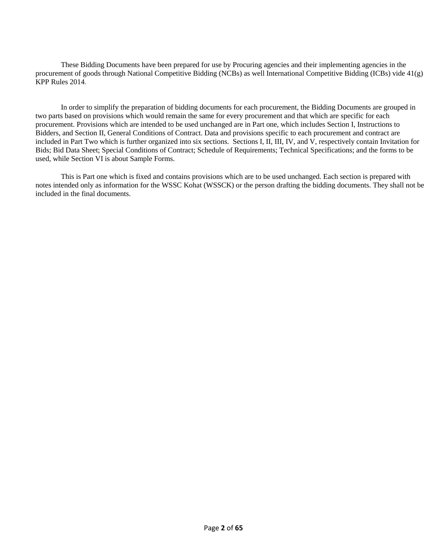These Bidding Documents have been prepared for use by Procuring agencies and their implementing agencies in the procurement of goods through National Competitive Bidding (NCBs) as well International Competitive Bidding (ICBs) vide 41(g) KPP Rules 2014.

In order to simplify the preparation of bidding documents for each procurement, the Bidding Documents are grouped in two parts based on provisions which would remain the same for every procurement and that which are specific for each procurement. Provisions which are intended to be used unchanged are in Part one, which includes Section I, Instructions to Bidders, and Section II, General Conditions of Contract. Data and provisions specific to each procurement and contract are included in Part Two which is further organized into six sections. Sections I, II, III, IV, and V, respectively contain Invitation for Bids; Bid Data Sheet; Special Conditions of Contract; Schedule of Requirements; Technical Specifications; and the forms to be used, while Section VI is about Sample Forms.

This is Part one which is fixed and contains provisions which are to be used unchanged. Each section is prepared with notes intended only as information for the WSSC Kohat (WSSCK) or the person drafting the bidding documents. They shall not be included in the final documents.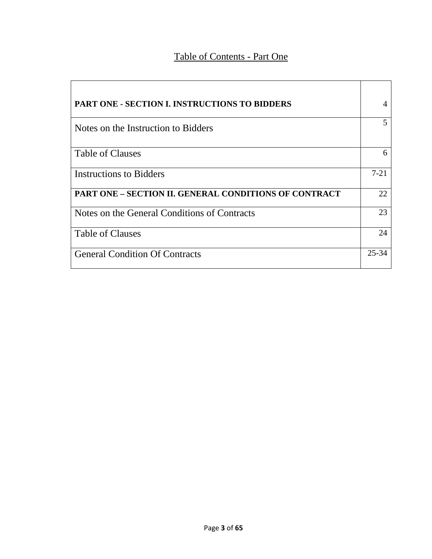## Table of Contents - Part One

| <b>PART ONE - SECTION I. INSTRUCTIONS TO BIDDERS</b>         |          |
|--------------------------------------------------------------|----------|
| Notes on the Instruction to Bidders                          | 5        |
| Table of Clauses                                             | 6        |
| <b>Instructions to Bidders</b>                               | $7 - 21$ |
| <b>PART ONE – SECTION II. GENERAL CONDITIONS OF CONTRACT</b> | 22       |
| Notes on the General Conditions of Contracts                 | 23       |
| <b>Table of Clauses</b>                                      | 24       |
| <b>General Condition Of Contracts</b>                        | 25-34    |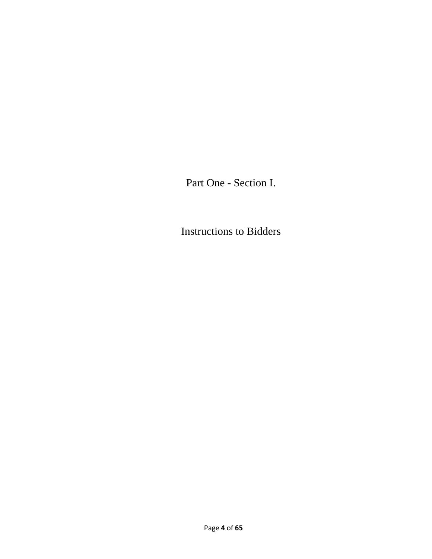Part One - Section I.

Instructions to Bidders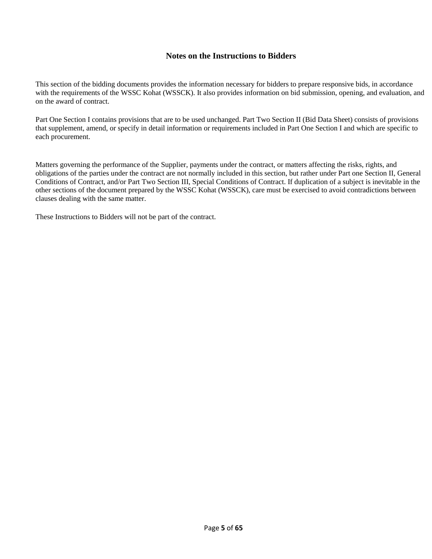#### **Notes on the Instructions to Bidders**

This section of the bidding documents provides the information necessary for bidders to prepare responsive bids, in accordance with the requirements of the WSSC Kohat (WSSCK). It also provides information on bid submission, opening, and evaluation, and on the award of contract.

Part One Section I contains provisions that are to be used unchanged. Part Two Section II (Bid Data Sheet) consists of provisions that supplement, amend, or specify in detail information or requirements included in Part One Section I and which are specific to each procurement.

Matters governing the performance of the Supplier, payments under the contract, or matters affecting the risks, rights, and obligations of the parties under the contract are not normally included in this section, but rather under Part one Section II, General Conditions of Contract, and/or Part Two Section III, Special Conditions of Contract. If duplication of a subject is inevitable in the other sections of the document prepared by the WSSC Kohat (WSSCK), care must be exercised to avoid contradictions between clauses dealing with the same matter.

These Instructions to Bidders will not be part of the contract.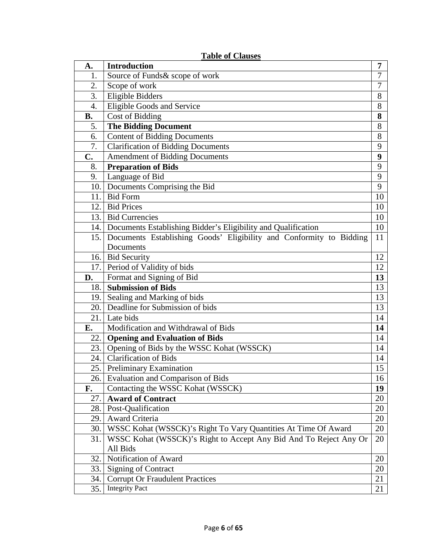| A.        | <b>Introduction</b>                                                 | $\overline{7}$ |
|-----------|---------------------------------------------------------------------|----------------|
| 1.        | Source of Funds & scope of work                                     | 7              |
| 2.        | Scope of work                                                       | 7              |
| 3.        | Eligible Bidders                                                    | 8              |
| 4.        | Eligible Goods and Service                                          | 8              |
| <b>B.</b> | Cost of Bidding                                                     | 8              |
| 5.        | <b>The Bidding Document</b>                                         | 8              |
| 6.        | <b>Content of Bidding Documents</b>                                 | 8              |
| 7.        | <b>Clarification of Bidding Documents</b>                           | 9              |
| C.        | <b>Amendment of Bidding Documents</b>                               | 9              |
| 8.        | <b>Preparation of Bids</b>                                          | 9              |
| 9.        | Language of Bid                                                     | 9              |
| 10.       | Documents Comprising the Bid                                        | 9              |
| 11.       | <b>Bid Form</b>                                                     | 10             |
| 12.       | <b>Bid Prices</b>                                                   | 10             |
| 13.1      | <b>Bid Currencies</b>                                               | 10             |
| 14.1      | Documents Establishing Bidder's Eligibility and Qualification       | 10             |
| 15.       | Documents Establishing Goods' Eligibility and Conformity to Bidding | 11             |
|           | <b>Documents</b>                                                    |                |
|           | 16. Bid Security                                                    | 12             |
| 17.1      | Period of Validity of bids                                          | 12             |
| D.        | Format and Signing of Bid                                           | 13             |
| 18.       | <b>Submission of Bids</b>                                           | 13             |
| 19.       | Sealing and Marking of bids                                         | 13             |
| 20.       | Deadline for Submission of bids                                     | 13             |
| 21.       | Late bids                                                           | 14             |
| Е.        | Modification and Withdrawal of Bids                                 | 14             |
| 22.       | <b>Opening and Evaluation of Bids</b>                               | 14             |
| 23.       | Opening of Bids by the WSSC Kohat (WSSCK)                           | 14             |
| 24.       | <b>Clarification of Bids</b>                                        | 14             |
| 25.       | Preliminary Examination                                             | 15             |
| 26.       | Evaluation and Comparison of Bids                                   | 16             |
| F.        | Contacting the WSSC Kohat (WSSCK)                                   | 19             |
| 27.       | <b>Award of Contract</b>                                            | 20             |
| 28.       | Post-Qualification                                                  | 20             |
| 29.       | Award Criteria                                                      | 20             |
| 30.       | WSSC Kohat (WSSCK)'s Right To Vary Quantities At Time Of Award      | 20             |
| 31.       | WSSC Kohat (WSSCK)'s Right to Accept Any Bid And To Reject Any Or   | 20             |
|           | All Bids                                                            |                |
| 32.       | Notification of Award                                               | 20             |
| 33.       | <b>Signing of Contract</b>                                          | 20             |
| 34.       | <b>Corrupt Or Fraudulent Practices</b>                              | 21             |
| 35.       | <b>Integrity Pact</b>                                               | 21             |

### **Table of Clauses**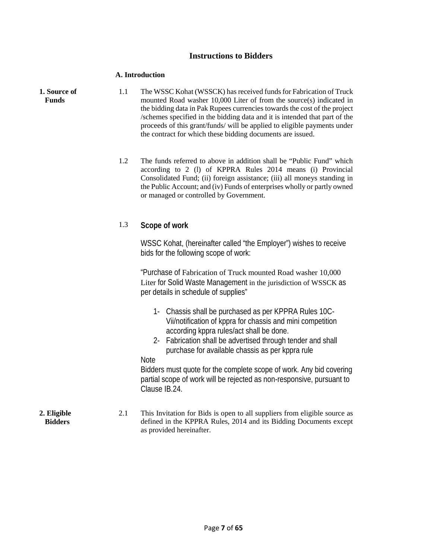#### **Instructions to Bidders**

#### **A. Introduction**

- **1. Source of Funds** 1.1 The WSSC Kohat (WSSCK) has received funds for Fabrication of Truck mounted Road washer 10,000 Liter of from the source(s) indicated in the bidding data in Pak Rupees currencies towards the cost of the project /schemes specified in the bidding data and it is intended that part of the proceeds of this grant/funds/ will be applied to eligible payments under the contract for which these bidding documents are issued.
	- 1.2 The funds referred to above in addition shall be "Public Fund" which according to 2 (l) of KPPRA Rules 2014 means (i) Provincial Consolidated Fund; (ii) foreign assistance; (iii) all moneys standing in the Public Account; and (iv) Funds of enterprises wholly or partly owned or managed or controlled by Government.

#### 1.3 **Scope of work**

WSSC Kohat, (hereinafter called "the Employer") wishes to receive bids for the following scope of work:

"Purchase of Fabrication of Truck mounted Road washer 10,000 Liter for Solid Waste Management in the jurisdiction of WSSCK as per details in schedule of supplies"

- 1- Chassis shall be purchased as per KPPRA Rules 10C-Vii/notification of kppra for chassis and mini competition according kppra rules/act shall be done.
- 2- Fabrication shall be advertised through tender and shall purchase for available chassis as per kppra rule

Note

**2. Eligible Bidders**

Bidders must quote for the complete scope of work. Any bid covering partial scope of work will be rejected as non-responsive, pursuant to Clause IB.24.

2.1 This Invitation for Bids is open to all suppliers from eligible source as defined in the KPPRA Rules, 2014 and its Bidding Documents except as provided hereinafter.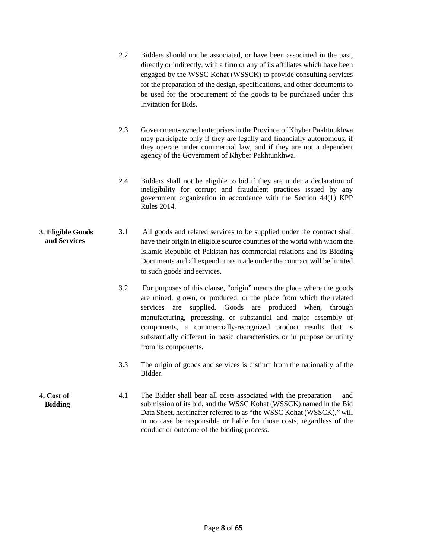- 2.2 Bidders should not be associated, or have been associated in the past, directly or indirectly, with a firm or any of its affiliates which have been engaged by the WSSC Kohat (WSSCK) to provide consulting services for the preparation of the design, specifications, and other documents to be used for the procurement of the goods to be purchased under this Invitation for Bids.
- 2.3 Government-owned enterprises in the Province of Khyber Pakhtunkhwa may participate only if they are legally and financially autonomous, if they operate under commercial law, and if they are not a dependent agency of the Government of Khyber Pakhtunkhwa.
- 2.4 Bidders shall not be eligible to bid if they are under a declaration of ineligibility for corrupt and fraudulent practices issued by any government organization in accordance with the Section 44(1) KPP Rules 2014.
- **3. Eligible Goods and Services** 3.1 All goods and related services to be supplied under the contract shall have their origin in eligible source countries of the world with whom the Islamic Republic of Pakistan has commercial relations and its Bidding Documents and all expenditures made under the contract will be limited to such goods and services.
	- 3.2 For purposes of this clause, "origin" means the place where the goods are mined, grown, or produced, or the place from which the related services are supplied. Goods are produced when, through manufacturing, processing, or substantial and major assembly of components, a commercially-recognized product results that is substantially different in basic characteristics or in purpose or utility from its components.
	- 3.3 The origin of goods and services is distinct from the nationality of the Bidder.
- **4. Cost of Bidding** 4.1 The Bidder shall bear all costs associated with the preparation and submission of its bid, and the WSSC Kohat (WSSCK) named in the Bid Data Sheet, hereinafter referred to as "the WSSC Kohat (WSSCK)," will in no case be responsible or liable for those costs, regardless of the conduct or outcome of the bidding process.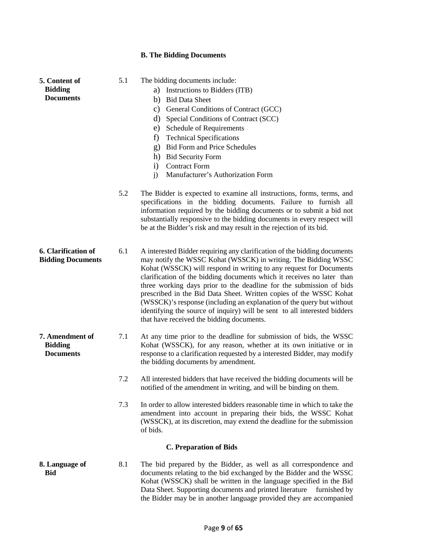### **B. The Bidding Documents**

| 5. Content of<br><b>Bidding</b><br><b>Documents</b>   | 5.1 | The bidding documents include:<br>a) Instructions to Bidders (ITB)<br>b)<br><b>Bid Data Sheet</b><br>General Conditions of Contract (GCC)<br>C)<br>Special Conditions of Contract (SCC)<br>d)<br>Schedule of Requirements<br>e)<br><b>Technical Specifications</b><br>f)<br><b>Bid Form and Price Schedules</b><br>$\mathbf{g}$<br>h)<br><b>Bid Security Form</b><br><b>Contract Form</b><br>i)<br>Manufacturer's Authorization Form<br>$\ddot{1}$                                                                                                                                                                                         |
|-------------------------------------------------------|-----|--------------------------------------------------------------------------------------------------------------------------------------------------------------------------------------------------------------------------------------------------------------------------------------------------------------------------------------------------------------------------------------------------------------------------------------------------------------------------------------------------------------------------------------------------------------------------------------------------------------------------------------------|
|                                                       | 5.2 | The Bidder is expected to examine all instructions, forms, terms, and<br>specifications in the bidding documents. Failure to furnish all<br>information required by the bidding documents or to submit a bid not<br>substantially responsive to the bidding documents in every respect will<br>be at the Bidder's risk and may result in the rejection of its bid.                                                                                                                                                                                                                                                                         |
| 6. Clarification of<br><b>Bidding Documents</b>       | 6.1 | A interested Bidder requiring any clarification of the bidding documents<br>may notify the WSSC Kohat (WSSCK) in writing. The Bidding WSSC<br>Kohat (WSSCK) will respond in writing to any request for Documents<br>clarification of the bidding documents which it receives no later than<br>three working days prior to the deadline for the submission of bids<br>prescribed in the Bid Data Sheet. Written copies of the WSSC Kohat<br>(WSSCK)'s response (including an explanation of the query but without<br>identifying the source of inquiry) will be sent to all interested bidders<br>that have received the bidding documents. |
| 7. Amendment of<br><b>Bidding</b><br><b>Documents</b> | 7.1 | At any time prior to the deadline for submission of bids, the WSSC<br>Kohat (WSSCK), for any reason, whether at its own initiative or in<br>response to a clarification requested by a interested Bidder, may modify<br>the bidding documents by amendment.                                                                                                                                                                                                                                                                                                                                                                                |
|                                                       | 7.2 | All interested bidders that have received the bidding documents will be<br>notified of the amendment in writing, and will be binding on them.                                                                                                                                                                                                                                                                                                                                                                                                                                                                                              |
|                                                       | 7.3 | In order to allow interested bidders reasonable time in which to take the<br>amendment into account in preparing their bids, the WSSC Kohat<br>(WSSCK), at its discretion, may extend the deadline for the submission<br>of bids.                                                                                                                                                                                                                                                                                                                                                                                                          |
|                                                       |     | <b>C. Preparation of Bids</b>                                                                                                                                                                                                                                                                                                                                                                                                                                                                                                                                                                                                              |
| 8. Language of<br><b>Bid</b>                          | 8.1 | The bid prepared by the Bidder, as well as all correspondence and<br>documents relating to the bid exchanged by the Bidder and the WSSC<br>Kohat (WSSCK) shall be written in the language specified in the Bid<br>Data Sheet. Supporting documents and printed literature<br>furnished by<br>the Bidder may be in another language provided they are accompanied                                                                                                                                                                                                                                                                           |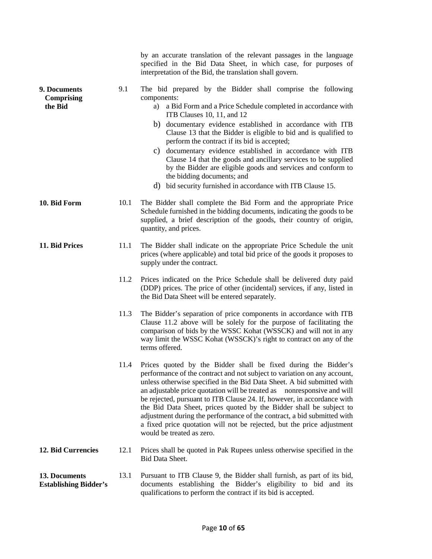|                                               |      | by an accurate translation of the relevant passages in the language<br>specified in the Bid Data Sheet, in which case, for purposes of<br>interpretation of the Bid, the translation shall govern.                                                                                                                                                                                                                                                                                                                                                                                                                                                               |
|-----------------------------------------------|------|------------------------------------------------------------------------------------------------------------------------------------------------------------------------------------------------------------------------------------------------------------------------------------------------------------------------------------------------------------------------------------------------------------------------------------------------------------------------------------------------------------------------------------------------------------------------------------------------------------------------------------------------------------------|
| 9. Documents<br><b>Comprising</b><br>the Bid  | 9.1  | The bid prepared by the Bidder shall comprise the following<br>components:<br>a Bid Form and a Price Schedule completed in accordance with<br>a)<br>ITB Clauses 10, 11, and 12<br>b) documentary evidence established in accordance with ITB<br>Clause 13 that the Bidder is eligible to bid and is qualified to<br>perform the contract if its bid is accepted;<br>documentary evidence established in accordance with ITB<br>C)<br>Clause 14 that the goods and ancillary services to be supplied<br>by the Bidder are eligible goods and services and conform to<br>the bidding documents; and<br>d) bid security furnished in accordance with ITB Clause 15. |
| 10. Bid Form                                  | 10.1 | The Bidder shall complete the Bid Form and the appropriate Price<br>Schedule furnished in the bidding documents, indicating the goods to be<br>supplied, a brief description of the goods, their country of origin,<br>quantity, and prices.                                                                                                                                                                                                                                                                                                                                                                                                                     |
| 11. Bid Prices                                | 11.1 | The Bidder shall indicate on the appropriate Price Schedule the unit<br>prices (where applicable) and total bid price of the goods it proposes to<br>supply under the contract.                                                                                                                                                                                                                                                                                                                                                                                                                                                                                  |
|                                               | 11.2 | Prices indicated on the Price Schedule shall be delivered duty paid<br>(DDP) prices. The price of other (incidental) services, if any, listed in<br>the Bid Data Sheet will be entered separately.                                                                                                                                                                                                                                                                                                                                                                                                                                                               |
|                                               | 11.3 | The Bidder's separation of price components in accordance with ITB<br>Clause 11.2 above will be solely for the purpose of facilitating the<br>comparison of bids by the WSSC Kohat (WSSCK) and will not in any<br>way limit the WSSC Kohat (WSSCK)'s right to contract on any of the<br>terms offered.                                                                                                                                                                                                                                                                                                                                                           |
|                                               | 11.4 | Prices quoted by the Bidder shall be fixed during the Bidder's<br>performance of the contract and not subject to variation on any account,<br>unless otherwise specified in the Bid Data Sheet. A bid submitted with<br>an adjustable price quotation will be treated as nonresponsive and will<br>be rejected, pursuant to ITB Clause 24. If, however, in accordance with<br>the Bid Data Sheet, prices quoted by the Bidder shall be subject to<br>adjustment during the performance of the contract, a bid submitted with<br>a fixed price quotation will not be rejected, but the price adjustment<br>would be treated as zero.                              |
| 12. Bid Currencies                            | 12.1 | Prices shall be quoted in Pak Rupees unless otherwise specified in the<br><b>Bid Data Sheet.</b>                                                                                                                                                                                                                                                                                                                                                                                                                                                                                                                                                                 |
| 13. Documents<br><b>Establishing Bidder's</b> | 13.1 | Pursuant to ITB Clause 9, the Bidder shall furnish, as part of its bid,<br>documents establishing the Bidder's eligibility to bid and its<br>qualifications to perform the contract if its bid is accepted.                                                                                                                                                                                                                                                                                                                                                                                                                                                      |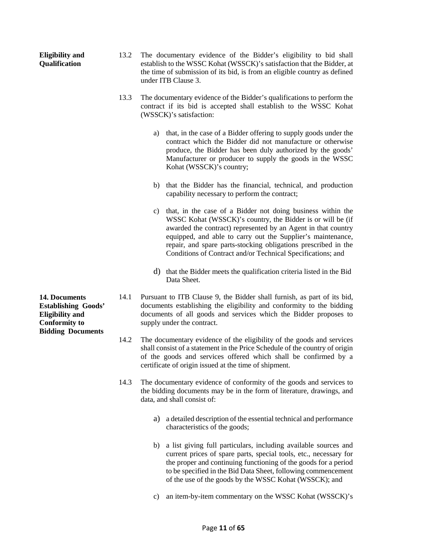**Eligibility and Qualification**

- 13.2 The documentary evidence of the Bidder's eligibility to bid shall establish to the WSSC Kohat (WSSCK)'s satisfaction that the Bidder, at the time of submission of its bid, is from an eligible country as defined under ITB Clause 3.
- 13.3 The documentary evidence of the Bidder's qualifications to perform the contract if its bid is accepted shall establish to the WSSC Kohat (WSSCK)'s satisfaction:
	- a) that, in the case of a Bidder offering to supply goods under the contract which the Bidder did not manufacture or otherwise produce, the Bidder has been duly authorized by the goods' Manufacturer or producer to supply the goods in the WSSC Kohat (WSSCK)'s country;
	- b) that the Bidder has the financial, technical, and production capability necessary to perform the contract;
	- c) that, in the case of a Bidder not doing business within the WSSC Kohat (WSSCK)'s country, the Bidder is or will be (if awarded the contract) represented by an Agent in that country equipped, and able to carry out the Supplier's maintenance, repair, and spare parts-stocking obligations prescribed in the Conditions of Contract and/or Technical Specifications; and
	- d) that the Bidder meets the qualification criteria listed in the Bid Data Sheet.
- 14.1 Pursuant to ITB Clause 9, the Bidder shall furnish, as part of its bid, documents establishing the eligibility and conformity to the bidding documents of all goods and services which the Bidder proposes to supply under the contract.
	- 14.2 The documentary evidence of the eligibility of the goods and services shall consist of a statement in the Price Schedule of the country of origin of the goods and services offered which shall be confirmed by a certificate of origin issued at the time of shipment.
- 14.3 The documentary evidence of conformity of the goods and services to the bidding documents may be in the form of literature, drawings, and data, and shall consist of:
	- a) a detailed description of the essential technical and performance characteristics of the goods;
	- b) a list giving full particulars, including available sources and current prices of spare parts, special tools, etc., necessary for the proper and continuing functioning of the goods for a period to be specified in the Bid Data Sheet, following commencement of the use of the goods by the WSSC Kohat (WSSCK); and
	- c) an item-by-item commentary on the WSSC Kohat (WSSCK)'s

**14. Documents Establishing Goods' Eligibility and Conformity to Bidding Documents**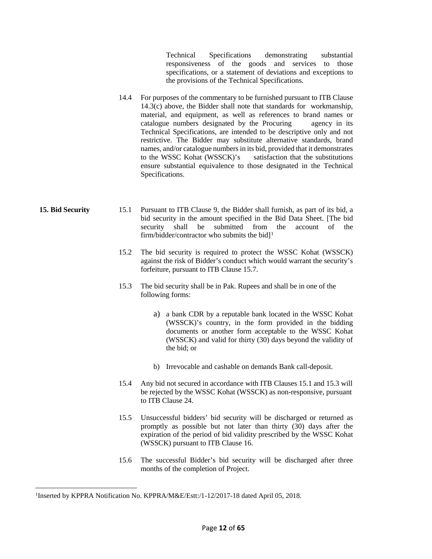Technical Specifications demonstrating substantial responsiveness of the goods and services to those specifications, or a statement of deviations and exceptions to the provisions of the Technical Specifications.

- 14.4 For purposes of the commentary to be furnished pursuant to ITB Clause 14.3(c) above, the Bidder shall note that standards for workmanship, material, and equipment, as well as references to brand names or catalogue numbers designated by the Procuring agency in its Technical Specifications, are intended to be descriptive only and not restrictive. The Bidder may substitute alternative standards, brand names, and/or catalogue numbers in its bid, provided that it demonstrates to the WSSC Kohat (WSSCK)'s satisfaction that the substitutions ensure substantial equivalence to those designated in the Technical Specifications.
- **15. Bid Security** 15.1 Pursuant to ITB Clause 9, the Bidder shall furnish, as part of its bid, a bid security in the amount specified in the Bid Data Sheet. [The bid security shall be submitted from the account of the firm/bidder/contractor who submits the bid]<sup>[1](#page-11-0)</sup>
	- 15.2 The bid security is required to protect the WSSC Kohat (WSSCK) against the risk of Bidder's conduct which would warrant the security's forfeiture, pursuant to ITB Clause 15.7.
	- 15.3 The bid security shall be in Pak. Rupees and shall be in one of the following forms:
		- a) a bank CDR by a reputable bank located in the WSSC Kohat (WSSCK)'s country, in the form provided in the bidding documents or another form acceptable to the WSSC Kohat (WSSCK) and valid for thirty (30) days beyond the validity of the bid; or
		- b) Irrevocable and cashable on demands Bank call-deposit.
	- 15.4 Any bid not secured in accordance with ITB Clauses 15.1 and 15.3 will be rejected by the WSSC Kohat (WSSCK) as non-responsive, pursuant to ITB Clause 24.
	- 15.5 Unsuccessful bidders' bid security will be discharged or returned as promptly as possible but not later than thirty (30) days after the expiration of the period of bid validity prescribed by the WSSC Kohat (WSSCK) pursuant to ITB Clause 16.
	- 15.6 The successful Bidder's bid security will be discharged after three months of the completion of Project.

l

<span id="page-11-0"></span><sup>&</sup>lt;sup>1</sup>Inserted by KPPRA Notification No. KPPRA/M&E/Estt:/1-12/2017-18 dated April 05, 2018.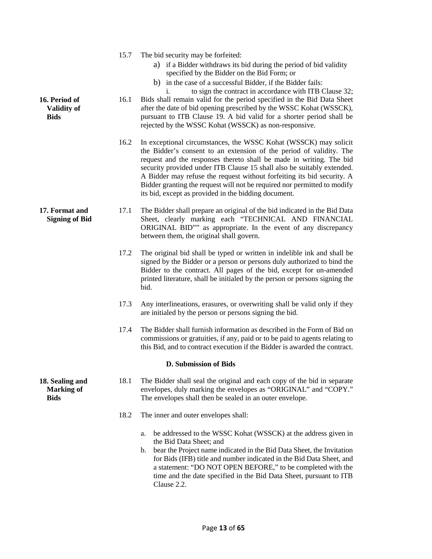|                                                     | 15.7 | The bid security may be forfeited:<br>a) if a Bidder withdraws its bid during the period of bid validity<br>specified by the Bidder on the Bid Form; or<br>b) in the case of a successful Bidder, if the Bidder fails:                                                                                                                                                                                                                                                                                 |
|-----------------------------------------------------|------|--------------------------------------------------------------------------------------------------------------------------------------------------------------------------------------------------------------------------------------------------------------------------------------------------------------------------------------------------------------------------------------------------------------------------------------------------------------------------------------------------------|
| 16. Period of<br><b>Validity of</b><br><b>Bids</b>  | 16.1 | to sign the contract in accordance with ITB Clause 32;<br>Bids shall remain valid for the period specified in the Bid Data Sheet<br>after the date of bid opening prescribed by the WSSC Kohat (WSSCK),<br>pursuant to ITB Clause 19. A bid valid for a shorter period shall be<br>rejected by the WSSC Kohat (WSSCK) as non-responsive.                                                                                                                                                               |
|                                                     | 16.2 | In exceptional circumstances, the WSSC Kohat (WSSCK) may solicit<br>the Bidder's consent to an extension of the period of validity. The<br>request and the responses thereto shall be made in writing. The bid<br>security provided under ITB Clause 15 shall also be suitably extended.<br>A Bidder may refuse the request without forfeiting its bid security. A<br>Bidder granting the request will not be required nor permitted to modify<br>its bid, except as provided in the bidding document. |
| 17. Format and<br><b>Signing of Bid</b>             | 17.1 | The Bidder shall prepare an original of the bid indicated in the Bid Data<br>Sheet, clearly marking each "TECHNICAL AND FINANCIAL<br>ORIGINAL BID"" as appropriate. In the event of any discrepancy<br>between them, the original shall govern.                                                                                                                                                                                                                                                        |
|                                                     | 17.2 | The original bid shall be typed or written in indelible ink and shall be<br>signed by the Bidder or a person or persons duly authorized to bind the<br>Bidder to the contract. All pages of the bid, except for un-amended<br>printed literature, shall be initialed by the person or persons signing the<br>bid.                                                                                                                                                                                      |
|                                                     | 17.3 | Any interlineations, erasures, or overwriting shall be valid only if they<br>are initialed by the person or persons signing the bid.                                                                                                                                                                                                                                                                                                                                                                   |
|                                                     | 17.4 | The Bidder shall furnish information as described in the Form of Bid on<br>commissions or gratuities, if any, paid or to be paid to agents relating to<br>this Bid, and to contract execution if the Bidder is awarded the contract.                                                                                                                                                                                                                                                                   |
|                                                     |      | D. Submission of Bids                                                                                                                                                                                                                                                                                                                                                                                                                                                                                  |
| 18. Sealing and<br><b>Marking of</b><br><b>Bids</b> | 18.1 | The Bidder shall seal the original and each copy of the bid in separate<br>envelopes, duly marking the envelopes as "ORIGINAL" and "COPY."<br>The envelopes shall then be sealed in an outer envelope.                                                                                                                                                                                                                                                                                                 |
|                                                     | 18.2 | The inner and outer envelopes shall:                                                                                                                                                                                                                                                                                                                                                                                                                                                                   |
|                                                     |      | be addressed to the WSSC Kohat (WSSCK) at the address given in<br>a.<br>the Bid Data Sheet; and<br>bear the Project name indicated in the Bid Data Sheet, the Invitation<br>b.<br>for Bids (IFB) title and number indicated in the Bid Data Sheet, and<br>a statement: "DO NOT OPEN BEFORE," to be completed with the<br>time and the date specified in the Bid Data Sheet, pursuant to ITB<br>Clause 2.2.                                                                                             |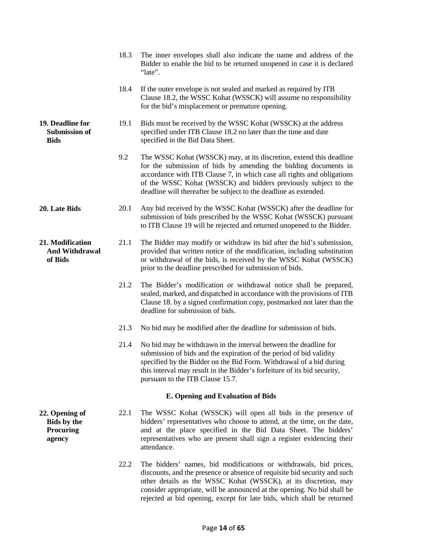|                                                                    | 18.3 | The inner envelopes shall also indicate the name and address of the<br>Bidder to enable the bid to be returned unopened in case it is declared<br>"late".                                                                                                                                                                                               |
|--------------------------------------------------------------------|------|---------------------------------------------------------------------------------------------------------------------------------------------------------------------------------------------------------------------------------------------------------------------------------------------------------------------------------------------------------|
|                                                                    | 18.4 | If the outer envelope is not sealed and marked as required by ITB<br>Clause 18.2, the WSSC Kohat (WSSCK) will assume no responsibility<br>for the bid's misplacement or premature opening.                                                                                                                                                              |
| 19. Deadline for<br><b>Submission of</b><br><b>Bids</b>            | 19.1 | Bids must be received by the WSSC Kohat (WSSCK) at the address<br>specified under ITB Clause 18.2 no later than the time and date<br>specified in the Bid Data Sheet.                                                                                                                                                                                   |
|                                                                    | 9.2  | The WSSC Kohat (WSSCK) may, at its discretion, extend this deadline<br>for the submission of bids by amending the bidding documents in<br>accordance with ITB Clause 7, in which case all rights and obligations<br>of the WSSC Kohat (WSSCK) and bidders previously subject to the<br>deadline will thereafter be subject to the deadline as extended. |
| 20. Late Bids                                                      | 20.1 | Any bid received by the WSSC Kohat (WSSCK) after the deadline for<br>submission of bids prescribed by the WSSC Kohat (WSSCK) pursuant<br>to ITB Clause 19 will be rejected and returned unopened to the Bidder.                                                                                                                                         |
| 21. Modification<br><b>And Withdrawal</b><br>of Bids               | 21.1 | The Bidder may modify or withdraw its bid after the bid's submission,<br>provided that written notice of the modification, including substitution<br>or withdrawal of the bids, is received by the WSSC Kohat (WSSCK)<br>prior to the deadline prescribed for submission of bids.                                                                       |
|                                                                    | 21.2 | The Bidder's modification or withdrawal notice shall be prepared,<br>sealed, marked, and dispatched in accordance with the provisions of ITB<br>Clause 18. by a signed confirmation copy, postmarked not later than the<br>deadline for submission of bids.                                                                                             |
|                                                                    | 21.3 | No bid may be modified after the deadline for submission of bids.                                                                                                                                                                                                                                                                                       |
|                                                                    | 21.4 | No bid may be withdrawn in the interval between the deadline for<br>submission of bids and the expiration of the period of bid validity<br>specified by the Bidder on the Bid Form. Withdrawal of a bid during<br>this interval may result in the Bidder's forfeiture of its bid security,<br>pursuant to the ITB Clause 15.7.                          |
|                                                                    |      | <b>E. Opening and Evaluation of Bids</b>                                                                                                                                                                                                                                                                                                                |
| 22. Opening of<br><b>Bids</b> by the<br><b>Procuring</b><br>agency | 22.1 | The WSSC Kohat (WSSCK) will open all bids in the presence of<br>bidders' representatives who choose to attend, at the time, on the date,<br>and at the place specified in the Bid Data Sheet. The bidders'<br>representatives who are present shall sign a register evidencing their<br>attendance.                                                     |
|                                                                    | 22.2 | The bidders' names, bid modifications or withdrawals, bid prices,<br>discounts, and the presence or absence of requisite bid security and such<br>other details as the WSSC Kohat (WSSCK), at its discretion, may<br>consider appropriate, will be announced at the opening. No bid shall be                                                            |

rejected at bid opening, except for late bids, which shall be returned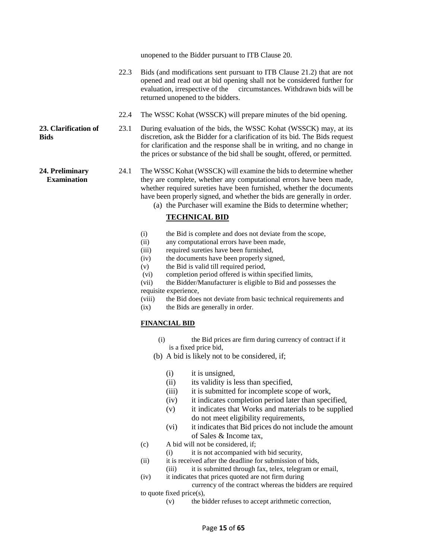unopened to the Bidder pursuant to ITB Clause 20.

- 22.3 Bids (and modifications sent pursuant to ITB Clause 21.2) that are not opened and read out at bid opening shall not be considered further for evaluation, irrespective of the circumstances. Withdrawn bids will be returned unopened to the bidders.
- 22.4 The WSSC Kohat (WSSCK) will prepare minutes of the bid opening.

**23. Clarification of**  23.1 During evaluation of the bids, the WSSC Kohat (WSSCK) may, at its discretion, ask the Bidder for a clarification of its bid. The Bids request for clarification and the response shall be in writing, and no change in the prices or substance of the bid shall be sought, offered, or permitted.

- **24. Preliminary Examination** 24.1 The WSSC Kohat (WSSCK) will examine the bids to determine whether they are complete, whether any computational errors have been made, whether required sureties have been furnished, whether the documents have been properly signed, and whether the bids are generally in order.
	- (a) the Purchaser will examine the Bids to determine whether;

#### **TECHNICAL BID**

- (i) the Bid is complete and does not deviate from the scope,
- (ii) any computational errors have been made,
- (iii) required sureties have been furnished,
- (iv) the documents have been properly signed,
- (v) the Bid is valid till required period,
- (vi) completion period offered is within specified limits,
- (vii) the Bidder/Manufacturer is eligible to Bid and possesses the requisite experience,

- (viii) the Bid does not deviate from basic technical requirements and
- (ix) the Bids are generally in order.

#### **FINANCIAL BID**

- (i) the Bid prices are firm during currency of contract if it is a fixed price bid,
- (b) A bid is likely not to be considered, if;
	- (i) it is unsigned,
	- (ii) its validity is less than specified,
	- (iii) it is submitted for incomplete scope of work,
	- (iv) it indicates completion period later than specified,
	- (v) it indicates that Works and materials to be supplied do not meet eligibility requirements,
	- (vi) it indicates that Bid prices do not include the amount of Sales & Income tax,
- (c) A bid will not be considered, if;
	- (i) it is not accompanied with bid security,
- (ii) it is received after the deadline for submission of bids,
- (iii) it is submitted through fax, telex, telegram or email,
- (iv) it indicates that prices quoted are not firm during

 currency of the contract whereas the bidders are required to quote fixed price(s),

(v) the bidder refuses to accept arithmetic correction,

**Bids**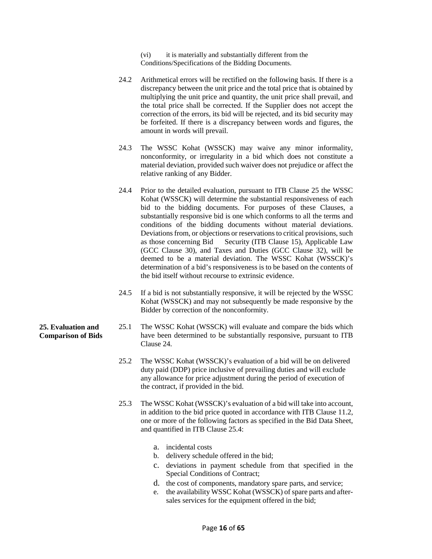(vi) it is materially and substantially different from the Conditions/Specifications of the Bidding Documents.

- 24.2 Arithmetical errors will be rectified on the following basis. If there is a discrepancy between the unit price and the total price that is obtained by multiplying the unit price and quantity, the unit price shall prevail, and the total price shall be corrected. If the Supplier does not accept the correction of the errors, its bid will be rejected, and its bid security may be forfeited. If there is a discrepancy between words and figures, the amount in words will prevail.
- 24.3 The WSSC Kohat (WSSCK) may waive any minor informality, nonconformity, or irregularity in a bid which does not constitute a material deviation, provided such waiver does not prejudice or affect the relative ranking of any Bidder.
- 24.4 Prior to the detailed evaluation, pursuant to ITB Clause 25 the WSSC Kohat (WSSCK) will determine the substantial responsiveness of each bid to the bidding documents. For purposes of these Clauses, a substantially responsive bid is one which conforms to all the terms and conditions of the bidding documents without material deviations. Deviations from, or objections or reservations to critical provisions, such as those concerning Bid Security (ITB Clause 15), Applicable Law Security (ITB Clause 15), Applicable Law (GCC Clause 30), and Taxes and Duties (GCC Clause 32), will be deemed to be a material deviation. The WSSC Kohat (WSSCK)'s determination of a bid's responsiveness is to be based on the contents of the bid itself without recourse to extrinsic evidence.
- 24.5 If a bid is not substantially responsive, it will be rejected by the WSSC Kohat (WSSCK) and may not subsequently be made responsive by the Bidder by correction of the nonconformity.
- 25.1 The WSSC Kohat (WSSCK) will evaluate and compare the bids which have been determined to be substantially responsive, pursuant to ITB Clause 24.
	- 25.2 The WSSC Kohat (WSSCK)'s evaluation of a bid will be on delivered duty paid (DDP) price inclusive of prevailing duties and will exclude any allowance for price adjustment during the period of execution of the contract, if provided in the bid.
- 25.3 The WSSC Kohat (WSSCK)'s evaluation of a bid will take into account, in addition to the bid price quoted in accordance with ITB Clause 11.2, one or more of the following factors as specified in the Bid Data Sheet, and quantified in ITB Clause 25.4:
	- a. incidental costs
	- b. delivery schedule offered in the bid;
	- c. deviations in payment schedule from that specified in the Special Conditions of Contract;
	- d. the cost of components, mandatory spare parts, and service;
	- e. the availability WSSC Kohat (WSSCK) of spare parts and aftersales services for the equipment offered in the bid;

**25. Evaluation and Comparison of Bids**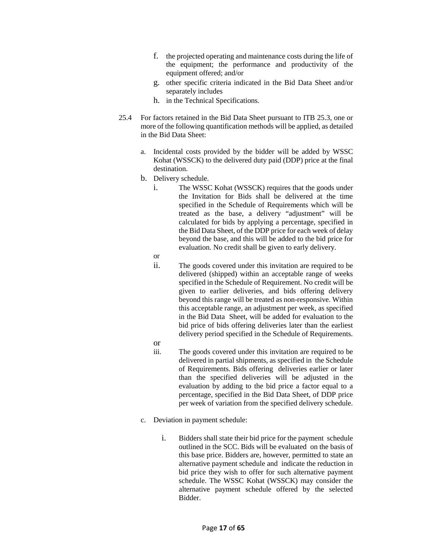- f. the projected operating and maintenance costs during the life of the equipment; the performance and productivity of the equipment offered; and/or
- g. other specific criteria indicated in the Bid Data Sheet and/or separately includes
- h. in the Technical Specifications.
- 25.4 For factors retained in the Bid Data Sheet pursuant to ITB 25.3, one or more of the following quantification methods will be applied, as detailed in the Bid Data Sheet:
	- a. Incidental costs provided by the bidder will be added by WSSC Kohat (WSSCK) to the delivered duty paid (DDP) price at the final destination.
	- b. Delivery schedule.
		- i. The WSSC Kohat (WSSCK) requires that the goods under the Invitation for Bids shall be delivered at the time specified in the Schedule of Requirements which will be treated as the base, a delivery "adjustment" will be calculated for bids by applying a percentage, specified in the Bid Data Sheet, of the DDP price for each week of delay beyond the base, and this will be added to the bid price for evaluation. No credit shall be given to early delivery.
		- or
		- ii. The goods covered under this invitation are required to be delivered (shipped) within an acceptable range of weeks specified in the Schedule of Requirement. No credit will be given to earlier deliveries, and bids offering delivery beyond this range will be treated as non-responsive. Within this acceptable range, an adjustment per week, as specified in the Bid Data Sheet, will be added for evaluation to the bid price of bids offering deliveries later than the earliest delivery period specified in the Schedule of Requirements.
		- or
		- iii. The goods covered under this invitation are required to be delivered in partial shipments, as specified in the Schedule of Requirements. Bids offering deliveries earlier or later than the specified deliveries will be adjusted in the evaluation by adding to the bid price a factor equal to a percentage, specified in the Bid Data Sheet, of DDP price per week of variation from the specified delivery schedule.
	- c. Deviation in payment schedule:
		- i. Bidders shall state their bid price for the payment schedule outlined in the SCC. Bids will be evaluated on the basis of this base price. Bidders are, however, permitted to state an alternative payment schedule and indicate the reduction in bid price they wish to offer for such alternative payment schedule. The WSSC Kohat (WSSCK) may consider the alternative payment schedule offered by the selected Bidder.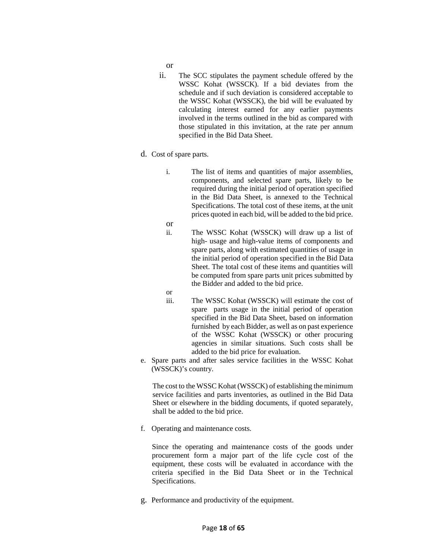- or
- ii. The SCC stipulates the payment schedule offered by the WSSC Kohat (WSSCK). If a bid deviates from the schedule and if such deviation is considered acceptable to the WSSC Kohat (WSSCK), the bid will be evaluated by calculating interest earned for any earlier payments involved in the terms outlined in the bid as compared with those stipulated in this invitation, at the rate per annum specified in the Bid Data Sheet.
- d. Cost of spare parts.
	- i. The list of items and quantities of major assemblies, components, and selected spare parts, likely to be required during the initial period of operation specified in the Bid Data Sheet, is annexed to the Technical Specifications. The total cost of these items, at the unit prices quoted in each bid, will be added to the bid price.
	- or
	- ii. The WSSC Kohat (WSSCK) will draw up a list of high- usage and high-value items of components and spare parts, along with estimated quantities of usage in the initial period of operation specified in the Bid Data Sheet. The total cost of these items and quantities will be computed from spare parts unit prices submitted by the Bidder and added to the bid price.
	- or
	- iii. The WSSC Kohat (WSSCK) will estimate the cost of spare parts usage in the initial period of operation specified in the Bid Data Sheet, based on information furnished by each Bidder, as well as on past experience of the WSSC Kohat (WSSCK) or other procuring agencies in similar situations. Such costs shall be added to the bid price for evaluation.
- e. Spare parts and after sales service facilities in the WSSC Kohat (WSSCK)'s country.

The cost to the WSSC Kohat (WSSCK) of establishing the minimum service facilities and parts inventories, as outlined in the Bid Data Sheet or elsewhere in the bidding documents, if quoted separately, shall be added to the bid price.

f. Operating and maintenance costs.

Since the operating and maintenance costs of the goods under procurement form a major part of the life cycle cost of the equipment, these costs will be evaluated in accordance with the criteria specified in the Bid Data Sheet or in the Technical Specifications.

g. Performance and productivity of the equipment.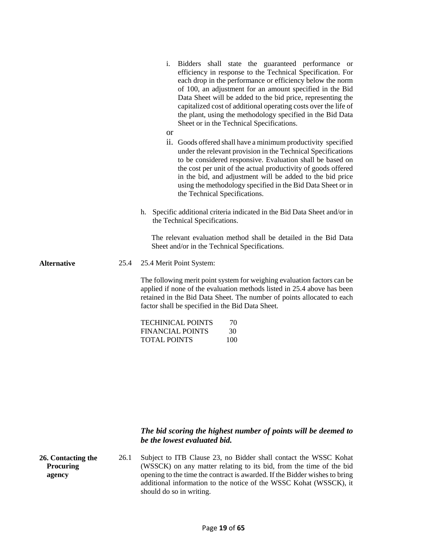| i. Bidders shall state the guaranteed performance or            |
|-----------------------------------------------------------------|
| efficiency in response to the Technical Specification. For      |
| each drop in the performance or efficiency below the norm       |
| of 100, an adjustment for an amount specified in the Bid        |
| Data Sheet will be added to the bid price, representing the     |
| capitalized cost of additional operating costs over the life of |
| the plant, using the methodology specified in the Bid Data      |
| Sheet or in the Technical Specifications.                       |

#### or

ii. Goods offered shall have a minimum productivity specified under the relevant provision in the Technical Specifications to be considered responsive. Evaluation shall be based on the cost per unit of the actual productivity of goods offered in the bid, and adjustment will be added to the bid price using the methodology specified in the Bid Data Sheet or in the Technical Specifications.

h. Specific additional criteria indicated in the Bid Data Sheet and/or in the Technical Specifications.

The relevant evaluation method shall be detailed in the Bid Data Sheet and/or in the Technical Specifications.

**Alternative** 25.4 25.4 Merit Point System:

The following merit point system for weighing evaluation factors can be applied if none of the evaluation methods listed in 25.4 above has been retained in the Bid Data Sheet. The number of points allocated to each factor shall be specified in the Bid Data Sheet.

| TECHINICAL POINTS | 70  |
|-------------------|-----|
| FINANCIAL POINTS  | 30  |
| TOTAL POINTS      | 100 |

#### *The bid scoring the highest number of points will be deemed to be the lowest evaluated bid.*

**26. Contacting the Procuring agency** 26.1 Subject to ITB Clause 23, no Bidder shall contact the WSSC Kohat (WSSCK) on any matter relating to its bid, from the time of the bid opening to the time the contract is awarded. If the Bidder wishes to bring additional information to the notice of the WSSC Kohat (WSSCK), it should do so in writing.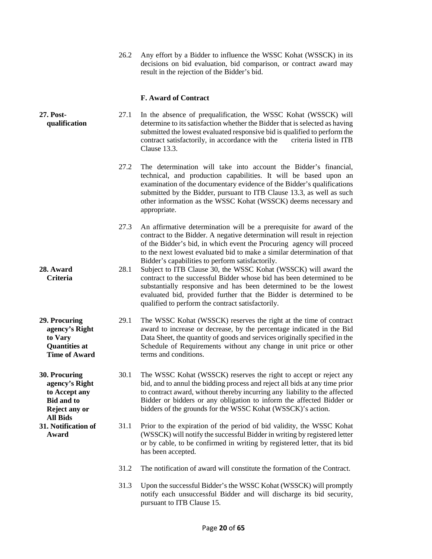**F. Award of Contract 27. Post qualification** 27.1 In the absence of prequalification, the WSSC Kohat (WSSCK) will determine to its satisfaction whether the Bidder that is selected as having submitted the lowest evaluated responsive bid is qualified to perform the contract satisfactorily, in accordance with the criteria listed in ITB Clause 13.3. 27.2 The determination will take into account the Bidder's financial, technical, and production capabilities. It will be based upon an examination of the documentary evidence of the Bidder's qualifications submitted by the Bidder, pursuant to ITB Clause 13.3, as well as such other information as the WSSC Kohat (WSSCK) deems necessary and appropriate. 27.3 An affirmative determination will be a prerequisite for award of the contract to the Bidder. A negative determination will result in rejection of the Bidder's bid, in which event the Procuring agency will proceed to the next lowest evaluated bid to make a similar determination of that Bidder's capabilities to perform satisfactorily. **28. Award Criteria** 28.1 Subject to ITB Clause 30, the WSSC Kohat (WSSCK) will award the contract to the successful Bidder whose bid has been determined to be substantially responsive and has been determined to be the lowest evaluated bid, provided further that the Bidder is determined to be qualified to perform the contract satisfactorily. **29. Procuring agency's Right to Vary Quantities at Time of Award** 29.1 The WSSC Kohat (WSSCK) reserves the right at the time of contract award to increase or decrease, by the percentage indicated in the Bid Data Sheet, the quantity of goods and services originally specified in the Schedule of Requirements without any change in unit price or other terms and conditions. **30. Procuring** 30.1 The WSSC Kohat (WSSCK) reserves the right to accept or reject any bid, and to annul the bidding process and reject all bids at any time prior

result in the rejection of the Bidder's bid.

26.2 Any effort by a Bidder to influence the WSSC Kohat (WSSCK) in its decisions on bid evaluation, bid comparison, or contract award may

 **agency's Right to Accept any Bid and to Reject any or All Bids** to contract award, without thereby incurring any liability to the affected Bidder or bidders or any obligation to inform the affected Bidder or bidders of the grounds for the WSSC Kohat (WSSCK)'s action. **31. Notification of**

 **Award**

- 31.1 Prior to the expiration of the period of bid validity, the WSSC Kohat (WSSCK) will notify the successful Bidder in writing by registered letter or by cable, to be confirmed in writing by registered letter, that its bid has been accepted.
- 31.2 The notification of award will constitute the formation of the Contract.
- 31.3 Upon the successful Bidder's the WSSC Kohat (WSSCK) will promptly notify each unsuccessful Bidder and will discharge its bid security, pursuant to ITB Clause 15.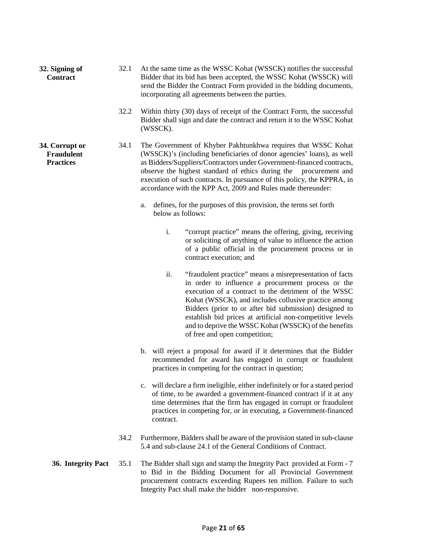| 32. Signing of<br><b>Contract</b>                       | 32.1 | At the same time as the WSSC Kohat (WSSCK) notifies the successful<br>Bidder that its bid has been accepted, the WSSC Kohat (WSSCK) will<br>send the Bidder the Contract Form provided in the bidding documents,<br>incorporating all agreements between the parties.                                                                                                                                                                                  |
|---------------------------------------------------------|------|--------------------------------------------------------------------------------------------------------------------------------------------------------------------------------------------------------------------------------------------------------------------------------------------------------------------------------------------------------------------------------------------------------------------------------------------------------|
|                                                         | 32.2 | Within thirty (30) days of receipt of the Contract Form, the successful<br>Bidder shall sign and date the contract and return it to the WSSC Kohat<br>(WSSCK).                                                                                                                                                                                                                                                                                         |
| 34. Corrupt or<br><b>Fraudulent</b><br><b>Practices</b> | 34.1 | The Government of Khyber Pakhtunkhwa requires that WSSC Kohat<br>(WSSCK)'s (including beneficiaries of donor agencies' loans), as well<br>as Bidders/Suppliers/Contractors under Government-financed contracts,<br>observe the highest standard of ethics during the procurement and<br>execution of such contracts. In pursuance of this policy, the KPPRA, in<br>accordance with the KPP Act, 2009 and Rules made thereunder:                        |
|                                                         |      | defines, for the purposes of this provision, the terms set forth<br>a.<br>below as follows:                                                                                                                                                                                                                                                                                                                                                            |
|                                                         |      | i.<br>"corrupt practice" means the offering, giving, receiving<br>or soliciting of anything of value to influence the action<br>of a public official in the procurement process or in<br>contract execution; and                                                                                                                                                                                                                                       |
|                                                         |      | ii.<br>"fraudulent practice" means a misrepresentation of facts<br>in order to influence a procurement process or the<br>execution of a contract to the detriment of the WSSC<br>Kohat (WSSCK), and includes collusive practice among<br>Bidders (prior to or after bid submission) designed to<br>establish bid prices at artificial non-competitive levels<br>and to deprive the WSSC Kohat (WSSCK) of the benefits<br>of free and open competition; |
|                                                         |      | b. will reject a proposal for award if it determines that the Bidder<br>recommended for award has engaged in corrupt or fraudulent<br>practices in competing for the contract in question;                                                                                                                                                                                                                                                             |
|                                                         |      | c. will declare a firm ineligible, either indefinitely or for a stated period<br>of time, to be awarded a government-financed contract if it at any<br>time determines that the firm has engaged in corrupt or fraudulent<br>practices in competing for, or in executing, a Government-financed<br>contract.                                                                                                                                           |
|                                                         | 34.2 | Furthermore, Bidders shall be aware of the provision stated in sub-clause<br>5.4 and sub-clause 24.1 of the General Conditions of Contract.                                                                                                                                                                                                                                                                                                            |
| 36. Integrity Pact                                      | 35.1 | The Bidder shall sign and stamp the Integrity Pact provided at Form - 7<br>to Bid in the Bidding Document for all Provincial Government<br>procurement contracts exceeding Rupees ten million. Failure to such<br>Integrity Pact shall make the bidder non-responsive.                                                                                                                                                                                 |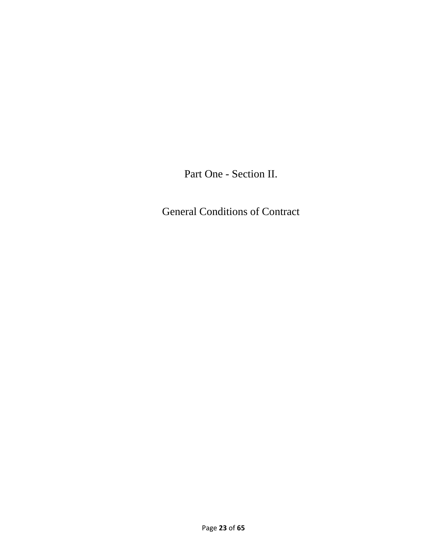Part One - Section II.

General Conditions of Contract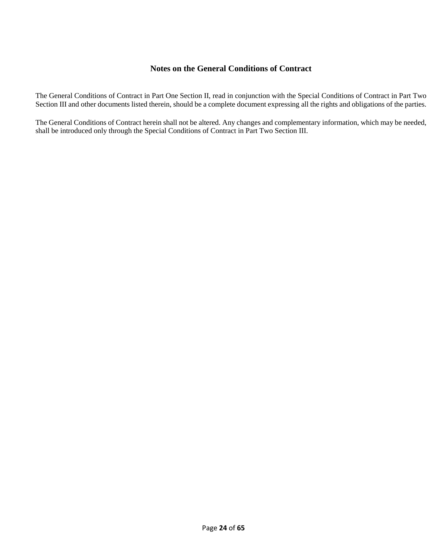### **Notes on the General Conditions of Contract**

The General Conditions of Contract in Part One Section II, read in conjunction with the Special Conditions of Contract in Part Two Section III and other documents listed therein, should be a complete document expressing all the rights and obligations of the parties.

The General Conditions of Contract herein shall not be altered. Any changes and complementary information, which may be needed, shall be introduced only through the Special Conditions of Contract in Part Two Section III.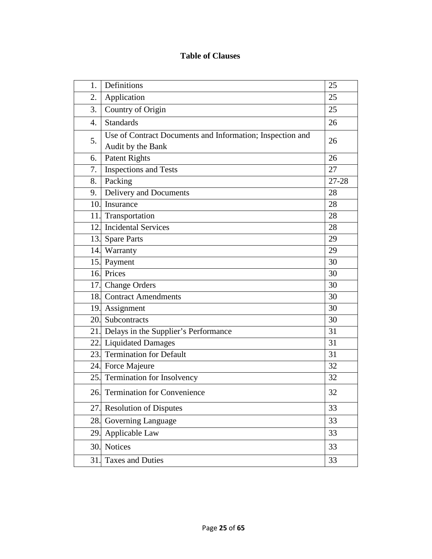## **Table of Clauses**

| Application<br>2.<br>3.<br>Country of Origin<br><b>Standards</b><br>$\overline{4}$ . | 25<br>25<br>26 |
|--------------------------------------------------------------------------------------|----------------|
|                                                                                      |                |
|                                                                                      |                |
|                                                                                      |                |
| Use of Contract Documents and Information; Inspection and<br>5.<br>Audit by the Bank | 26             |
| Patent Rights<br>6.                                                                  | 26             |
| <b>Inspections and Tests</b><br>7.                                                   | 27             |
| Packing<br>8.                                                                        | 27-28          |
| Delivery and Documents<br>9.                                                         | 28             |
| 10. Insurance                                                                        | 28             |
| 11. Transportation                                                                   | 28             |
| 12. Incidental Services                                                              | 28             |
| 13. Spare Parts                                                                      | 29             |
| 14. Warranty                                                                         | 29             |
| 15. Payment                                                                          | 30             |
| 16. Prices                                                                           | 30             |
| 17. Change Orders                                                                    | 30             |
| 18. Contract Amendments                                                              | 30             |
| 19. Assignment                                                                       | 30             |
| 20. Subcontracts                                                                     | 30             |
| 21. Delays in the Supplier's Performance                                             | 31             |
| 22. Liquidated Damages                                                               | 31             |
| 23. Termination for Default                                                          | 31             |
| 24. Force Majeure                                                                    | 32             |
| 25. Termination for Insolvency                                                       | 32             |
| 26. Termination for Convenience                                                      | 32             |
| <b>Resolution of Disputes</b><br>27.                                                 | 33             |
| <b>Governing Language</b><br>28.                                                     | 33             |
| Applicable Law<br>29.                                                                | 33             |
| 30.<br><b>Notices</b>                                                                | 33             |
| <b>Taxes and Duties</b><br>31.                                                       | 33             |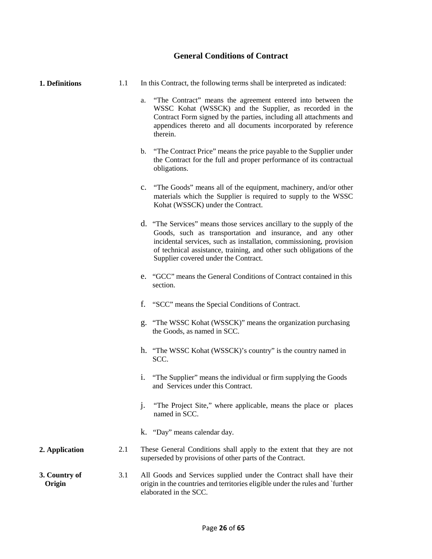## **General Conditions of Contract**

| 1. Definitions          | 1.1 | In this Contract, the following terms shall be interpreted as indicated:                                                                                                                                                                                                                                                   |
|-------------------------|-----|----------------------------------------------------------------------------------------------------------------------------------------------------------------------------------------------------------------------------------------------------------------------------------------------------------------------------|
|                         |     | "The Contract" means the agreement entered into between the<br>a.<br>WSSC Kohat (WSSCK) and the Supplier, as recorded in the<br>Contract Form signed by the parties, including all attachments and<br>appendices thereto and all documents incorporated by reference<br>therein.                                           |
|                         |     | b. "The Contract Price" means the price payable to the Supplier under<br>the Contract for the full and proper performance of its contractual<br>obligations.                                                                                                                                                               |
|                         |     | c. "The Goods" means all of the equipment, machinery, and/or other<br>materials which the Supplier is required to supply to the WSSC<br>Kohat (WSSCK) under the Contract.                                                                                                                                                  |
|                         |     | d. "The Services" means those services ancillary to the supply of the<br>Goods, such as transportation and insurance, and any other<br>incidental services, such as installation, commissioning, provision<br>of technical assistance, training, and other such obligations of the<br>Supplier covered under the Contract. |
|                         |     | e. "GCC" means the General Conditions of Contract contained in this<br>section.                                                                                                                                                                                                                                            |
|                         |     | f.<br>"SCC" means the Special Conditions of Contract.                                                                                                                                                                                                                                                                      |
|                         |     | g. "The WSSC Kohat (WSSCK)" means the organization purchasing<br>the Goods, as named in SCC.                                                                                                                                                                                                                               |
|                         |     | h. "The WSSC Kohat (WSSCK)'s country" is the country named in<br>SCC.                                                                                                                                                                                                                                                      |
|                         |     | i.<br>"The Supplier" means the individual or firm supplying the Goods<br>and Services under this Contract.                                                                                                                                                                                                                 |
|                         |     | j.<br>"The Project Site," where applicable, means the place or places<br>named in SCC.                                                                                                                                                                                                                                     |
|                         |     | "Day" means calendar day.<br>k.                                                                                                                                                                                                                                                                                            |
| 2. Application          | 2.1 | These General Conditions shall apply to the extent that they are not<br>superseded by provisions of other parts of the Contract.                                                                                                                                                                                           |
| 3. Country of<br>Origin | 3.1 | All Goods and Services supplied under the Contract shall have their<br>origin in the countries and territories eligible under the rules and `further<br>elaborated in the SCC.                                                                                                                                             |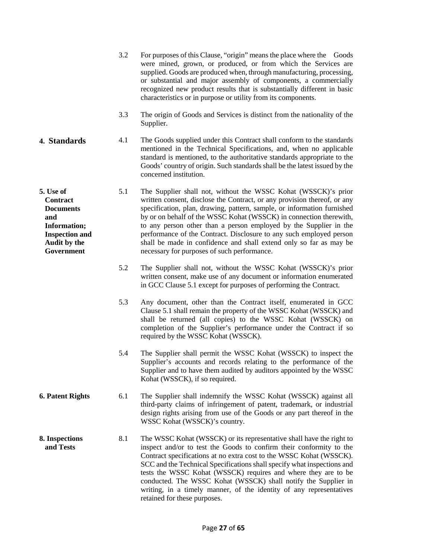|                                                                                                                                | 3.2 | For purposes of this Clause, "origin" means the place where the Goods<br>were mined, grown, or produced, or from which the Services are<br>supplied. Goods are produced when, through manufacturing, processing,<br>or substantial and major assembly of components, a commercially<br>recognized new product results that is substantially different in basic<br>characteristics or in purpose or utility from its components.                                                                                                                              |
|--------------------------------------------------------------------------------------------------------------------------------|-----|--------------------------------------------------------------------------------------------------------------------------------------------------------------------------------------------------------------------------------------------------------------------------------------------------------------------------------------------------------------------------------------------------------------------------------------------------------------------------------------------------------------------------------------------------------------|
|                                                                                                                                | 3.3 | The origin of Goods and Services is distinct from the nationality of the<br>Supplier.                                                                                                                                                                                                                                                                                                                                                                                                                                                                        |
| 4. Standards                                                                                                                   | 4.1 | The Goods supplied under this Contract shall conform to the standards<br>mentioned in the Technical Specifications, and, when no applicable<br>standard is mentioned, to the authoritative standards appropriate to the<br>Goods' country of origin. Such standards shall be the latest issued by the<br>concerned institution.                                                                                                                                                                                                                              |
| 5. Use of<br>Contract<br><b>Documents</b><br>and<br><b>Information;</b><br><b>Inspection and</b><br>Audit by the<br>Government | 5.1 | The Supplier shall not, without the WSSC Kohat (WSSCK)'s prior<br>written consent, disclose the Contract, or any provision thereof, or any<br>specification, plan, drawing, pattern, sample, or information furnished<br>by or on behalf of the WSSC Kohat (WSSCK) in connection therewith,<br>to any person other than a person employed by the Supplier in the<br>performance of the Contract. Disclosure to any such employed person<br>shall be made in confidence and shall extend only so far as may be<br>necessary for purposes of such performance. |
|                                                                                                                                | 5.2 | The Supplier shall not, without the WSSC Kohat (WSSCK)'s prior<br>written consent, make use of any document or information enumerated<br>in GCC Clause 5.1 except for purposes of performing the Contract.                                                                                                                                                                                                                                                                                                                                                   |
|                                                                                                                                | 5.3 | Any document, other than the Contract itself, enumerated in GCC<br>Clause 5.1 shall remain the property of the WSSC Kohat (WSSCK) and<br>shall be returned (all copies) to the WSSC Kohat (WSSCK) on<br>completion of the Supplier's performance under the Contract if so<br>required by the WSSC Kohat (WSSCK).                                                                                                                                                                                                                                             |
|                                                                                                                                | 5.4 | The Supplier shall permit the WSSC Kohat (WSSCK) to inspect the<br>Supplier's accounts and records relating to the performance of the<br>Supplier and to have them audited by auditors appointed by the WSSC<br>Kohat (WSSCK), if so required.                                                                                                                                                                                                                                                                                                               |
| <b>6. Patent Rights</b>                                                                                                        | 6.1 | The Supplier shall indemnify the WSSC Kohat (WSSCK) against all<br>third-party claims of infringement of patent, trademark, or industrial<br>design rights arising from use of the Goods or any part thereof in the<br>WSSC Kohat (WSSCK)'s country.                                                                                                                                                                                                                                                                                                         |
| 8. Inspections<br>and Tests                                                                                                    | 8.1 | The WSSC Kohat (WSSCK) or its representative shall have the right to<br>inspect and/or to test the Goods to confirm their conformity to the<br>Contract specifications at no extra cost to the WSSC Kohat (WSSCK).<br>SCC and the Technical Specifications shall specify what inspections and<br>tests the WSSC Kohat (WSSCK) requires and where they are to be<br>conducted. The WSSC Kohat (WSSCK) shall notify the Supplier in<br>writing, in a timely manner, of the identity of any representatives<br>retained for these purposes.                     |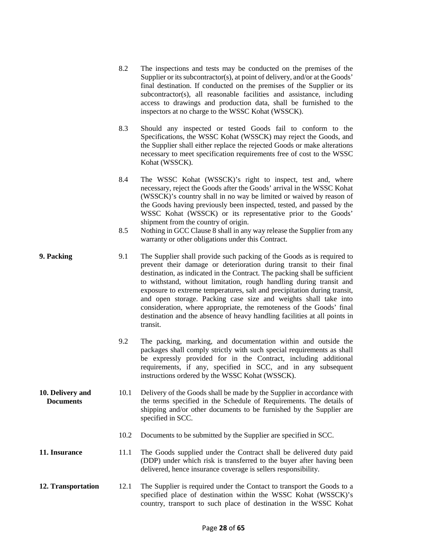- 8.2 The inspections and tests may be conducted on the premises of the Supplier or its subcontractor(s), at point of delivery, and/or at the Goods' final destination. If conducted on the premises of the Supplier or its subcontractor(s), all reasonable facilities and assistance, including access to drawings and production data, shall be furnished to the inspectors at no charge to the WSSC Kohat (WSSCK).
- 8.3 Should any inspected or tested Goods fail to conform to the Specifications, the WSSC Kohat (WSSCK) may reject the Goods, and the Supplier shall either replace the rejected Goods or make alterations necessary to meet specification requirements free of cost to the WSSC Kohat (WSSCK).
- 8.4 The WSSC Kohat (WSSCK)'s right to inspect, test and, where necessary, reject the Goods after the Goods' arrival in the WSSC Kohat (WSSCK)'s country shall in no way be limited or waived by reason of the Goods having previously been inspected, tested, and passed by the WSSC Kohat (WSSCK) or its representative prior to the Goods' shipment from the country of origin.
- 8.5 Nothing in GCC Clause 8 shall in any way release the Supplier from any warranty or other obligations under this Contract.
- **9. Packing** 9.1 The Supplier shall provide such packing of the Goods as is required to prevent their damage or deterioration during transit to their final destination, as indicated in the Contract. The packing shall be sufficient to withstand, without limitation, rough handling during transit and exposure to extreme temperatures, salt and precipitation during transit, and open storage. Packing case size and weights shall take into consideration, where appropriate, the remoteness of the Goods' final destination and the absence of heavy handling facilities at all points in transit.
	- 9.2 The packing, marking, and documentation within and outside the packages shall comply strictly with such special requirements as shall be expressly provided for in the Contract, including additional requirements, if any, specified in SCC, and in any subsequent instructions ordered by the WSSC Kohat (WSSCK).
- **10. Delivery and Documents** 10.1 Delivery of the Goods shall be made by the Supplier in accordance with the terms specified in the Schedule of Requirements. The details of shipping and/or other documents to be furnished by the Supplier are specified in SCC.
	- 10.2 Documents to be submitted by the Supplier are specified in SCC.
- **11. Insurance** 11.1 The Goods supplied under the Contract shall be delivered duty paid (DDP) under which risk is transferred to the buyer after having been delivered, hence insurance coverage is sellers responsibility.
- 12. **Transportation** 12.1 The Supplier is required under the Contact to transport the Goods to a specified place of destination within the WSSC Kohat (WSSCK)'s country, transport to such place of destination in the WSSC Kohat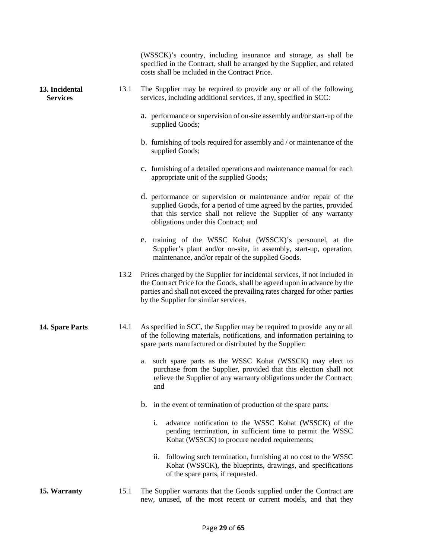(WSSCK)'s country, including insurance and storage, as shall be specified in the Contract, shall be arranged by the Supplier, and related costs shall be included in the Contract Price.

- **13. Incidental Services** 13.1 The Supplier may be required to provide any or all of the following services, including additional services, if any, specified in SCC:
	- a. performance or supervision of on-site assembly and/or start-up of the supplied Goods;
	- b. furnishing of tools required for assembly and / or maintenance of the supplied Goods;
	- c. furnishing of a detailed operations and maintenance manual for each appropriate unit of the supplied Goods;
	- d. performance or supervision or maintenance and/or repair of the supplied Goods, for a period of time agreed by the parties, provided that this service shall not relieve the Supplier of any warranty obligations under this Contract; and
	- e. training of the WSSC Kohat (WSSCK)'s personnel, at the Supplier's plant and/or on-site, in assembly, start-up, operation, maintenance, and/or repair of the supplied Goods.
	- 13.2 Prices charged by the Supplier for incidental services, if not included in the Contract Price for the Goods, shall be agreed upon in advance by the parties and shall not exceed the prevailing rates charged for other parties by the Supplier for similar services.
- **14. Spare Parts** 14.1 As specified in SCC, the Supplier may be required to provide any or all of the following materials, notifications, and information pertaining to spare parts manufactured or distributed by the Supplier:
	- a. such spare parts as the WSSC Kohat (WSSCK) may elect to purchase from the Supplier, provided that this election shall not relieve the Supplier of any warranty obligations under the Contract; and
	- b. in the event of termination of production of the spare parts:
		- i. advance notification to the WSSC Kohat (WSSCK) of the pending termination, in sufficient time to permit the WSSC Kohat (WSSCK) to procure needed requirements;
		- ii. following such termination, furnishing at no cost to the WSSC Kohat (WSSCK), the blueprints, drawings, and specifications of the spare parts, if requested.
- **15. Warranty** 15.1 The Supplier warrants that the Goods supplied under the Contract are new, unused, of the most recent or current models, and that they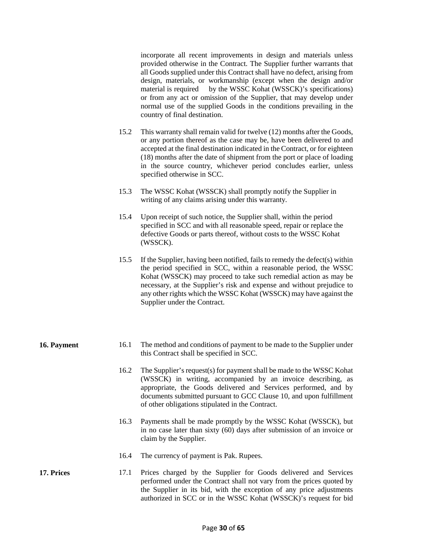incorporate all recent improvements in design and materials unless provided otherwise in the Contract. The Supplier further warrants that all Goods supplied under this Contract shall have no defect, arising from design, materials, or workmanship (except when the design and/or material is required by the WSSC Kohat (WSSCK)'s specifications) or from any act or omission of the Supplier, that may develop under normal use of the supplied Goods in the conditions prevailing in the country of final destination.

- 15.2 This warranty shall remain valid for twelve (12) months after the Goods, or any portion thereof as the case may be, have been delivered to and accepted at the final destination indicated in the Contract, or for eighteen (18) months after the date of shipment from the port or place of loading in the source country, whichever period concludes earlier, unless specified otherwise in SCC.
- 15.3 The WSSC Kohat (WSSCK) shall promptly notify the Supplier in writing of any claims arising under this warranty.
- 15.4 Upon receipt of such notice, the Supplier shall, within the period specified in SCC and with all reasonable speed, repair or replace the defective Goods or parts thereof, without costs to the WSSC Kohat (WSSCK).
- 15.5 If the Supplier, having been notified, fails to remedy the defect(s) within the period specified in SCC, within a reasonable period, the WSSC Kohat (WSSCK) may proceed to take such remedial action as may be necessary, at the Supplier's risk and expense and without prejudice to any other rights which the WSSC Kohat (WSSCK) may have against the Supplier under the Contract.

| 16. Payment | The method and conditions of payment to be made to the Supplier under |
|-------------|-----------------------------------------------------------------------|
|             | this Contract shall be specified in SCC.                              |

- 16.2 The Supplier's request(s) for payment shall be made to the WSSC Kohat (WSSCK) in writing, accompanied by an invoice describing, as appropriate, the Goods delivered and Services performed, and by documents submitted pursuant to GCC Clause 10, and upon fulfillment of other obligations stipulated in the Contract.
- 16.3 Payments shall be made promptly by the WSSC Kohat (WSSCK), but in no case later than sixty (60) days after submission of an invoice or claim by the Supplier.
- 16.4 The currency of payment is Pak. Rupees.
- **17. Prices** 17.1 Prices charged by the Supplier for Goods delivered and Services performed under the Contract shall not vary from the prices quoted by the Supplier in its bid, with the exception of any price adjustments authorized in SCC or in the WSSC Kohat (WSSCK)'s request for bid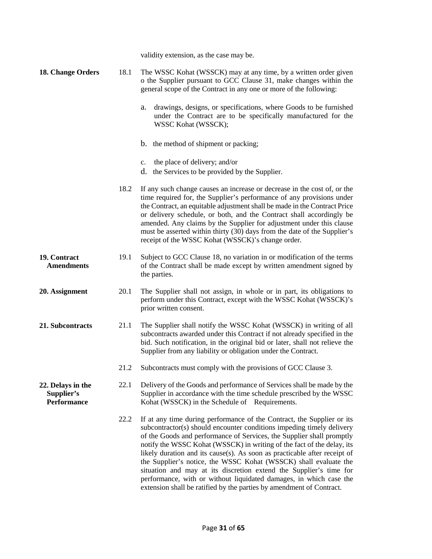|                                                       |      | validity extension, as the case may be.                                                                                                                                                                                                                                                                                                                                                                                                                                                                                                                                                                                                                                 |
|-------------------------------------------------------|------|-------------------------------------------------------------------------------------------------------------------------------------------------------------------------------------------------------------------------------------------------------------------------------------------------------------------------------------------------------------------------------------------------------------------------------------------------------------------------------------------------------------------------------------------------------------------------------------------------------------------------------------------------------------------------|
| 18. Change Orders                                     | 18.1 | The WSSC Kohat (WSSCK) may at any time, by a written order given<br>o the Supplier pursuant to GCC Clause 31, make changes within the<br>general scope of the Contract in any one or more of the following:                                                                                                                                                                                                                                                                                                                                                                                                                                                             |
|                                                       |      | drawings, designs, or specifications, where Goods to be furnished<br>a.<br>under the Contract are to be specifically manufactured for the<br>WSSC Kohat (WSSCK);                                                                                                                                                                                                                                                                                                                                                                                                                                                                                                        |
|                                                       |      | b. the method of shipment or packing;                                                                                                                                                                                                                                                                                                                                                                                                                                                                                                                                                                                                                                   |
|                                                       |      | the place of delivery; and/or<br>$c_{\cdot}$<br>d. the Services to be provided by the Supplier.                                                                                                                                                                                                                                                                                                                                                                                                                                                                                                                                                                         |
|                                                       | 18.2 | If any such change causes an increase or decrease in the cost of, or the<br>time required for, the Supplier's performance of any provisions under<br>the Contract, an equitable adjustment shall be made in the Contract Price<br>or delivery schedule, or both, and the Contract shall accordingly be<br>amended. Any claims by the Supplier for adjustment under this clause<br>must be asserted within thirty (30) days from the date of the Supplier's<br>receipt of the WSSC Kohat (WSSCK)'s change order.                                                                                                                                                         |
| 19. Contract<br><b>Amendments</b>                     | 19.1 | Subject to GCC Clause 18, no variation in or modification of the terms<br>of the Contract shall be made except by written amendment signed by<br>the parties.                                                                                                                                                                                                                                                                                                                                                                                                                                                                                                           |
| 20. Assignment                                        | 20.1 | The Supplier shall not assign, in whole or in part, its obligations to<br>perform under this Contract, except with the WSSC Kohat (WSSCK)'s<br>prior written consent.                                                                                                                                                                                                                                                                                                                                                                                                                                                                                                   |
| 21. Subcontracts                                      | 21.1 | The Supplier shall notify the WSSC Kohat (WSSCK) in writing of all<br>subcontracts awarded under this Contract if not already specified in the<br>bid. Such notification, in the original bid or later, shall not relieve the<br>Supplier from any liability or obligation under the Contract.                                                                                                                                                                                                                                                                                                                                                                          |
|                                                       | 21.2 | Subcontracts must comply with the provisions of GCC Clause 3.                                                                                                                                                                                                                                                                                                                                                                                                                                                                                                                                                                                                           |
| 22. Delays in the<br>Supplier's<br><b>Performance</b> | 22.1 | Delivery of the Goods and performance of Services shall be made by the<br>Supplier in accordance with the time schedule prescribed by the WSSC<br>Kohat (WSSCK) in the Schedule of Requirements.                                                                                                                                                                                                                                                                                                                                                                                                                                                                        |
|                                                       | 22.2 | If at any time during performance of the Contract, the Supplier or its<br>subcontractor(s) should encounter conditions impeding timely delivery<br>of the Goods and performance of Services, the Supplier shall promptly<br>notify the WSSC Kohat (WSSCK) in writing of the fact of the delay, its<br>likely duration and its cause(s). As soon as practicable after receipt of<br>the Supplier's notice, the WSSC Kohat (WSSCK) shall evaluate the<br>situation and may at its discretion extend the Supplier's time for<br>performance, with or without liquidated damages, in which case the<br>extension shall be ratified by the parties by amendment of Contract. |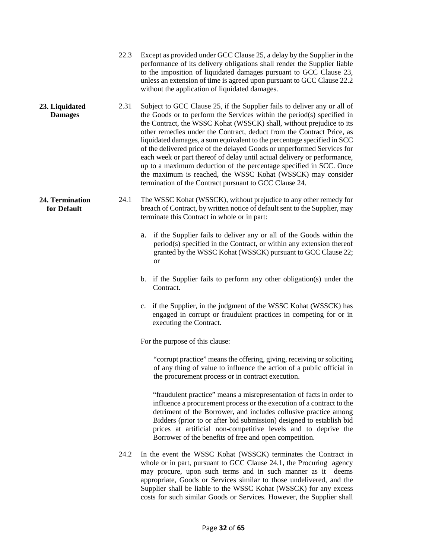- 22.3 Except as provided under GCC Clause 25, a delay by the Supplier in the performance of its delivery obligations shall render the Supplier liable to the imposition of liquidated damages pursuant to GCC Clause 23, unless an extension of time is agreed upon pursuant to GCC Clause 22.2 without the application of liquidated damages.
- **23. Liquidated Damages** 2.31 Subject to GCC Clause 25, if the Supplier fails to deliver any or all of the Goods or to perform the Services within the period(s) specified in the Contract, the WSSC Kohat (WSSCK) shall, without prejudice to its other remedies under the Contract, deduct from the Contract Price, as liquidated damages, a sum equivalent to the percentage specified in SCC of the delivered price of the delayed Goods or unperformed Services for each week or part thereof of delay until actual delivery or performance, up to a maximum deduction of the percentage specified in SCC. Once the maximum is reached, the WSSC Kohat (WSSCK) may consider termination of the Contract pursuant to GCC Clause 24.
- **24. Termination for Default** 24.1 The WSSC Kohat (WSSCK), without prejudice to any other remedy for breach of Contract, by written notice of default sent to the Supplier, may terminate this Contract in whole or in part:
	- a. if the Supplier fails to deliver any or all of the Goods within the period(s) specified in the Contract, or within any extension thereof granted by the WSSC Kohat (WSSCK) pursuant to GCC Clause 22; or
	- b. if the Supplier fails to perform any other obligation(s) under the Contract.
	- c. if the Supplier, in the judgment of the WSSC Kohat (WSSCK) has engaged in corrupt or fraudulent practices in competing for or in executing the Contract.

For the purpose of this clause:

"corrupt practice" means the offering, giving, receiving or soliciting of any thing of value to influence the action of a public official in the procurement process or in contract execution.

"fraudulent practice" means a misrepresentation of facts in order to influence a procurement process or the execution of a contract to the detriment of the Borrower, and includes collusive practice among Bidders (prior to or after bid submission) designed to establish bid prices at artificial non-competitive levels and to deprive the Borrower of the benefits of free and open competition.

24.2 In the event the WSSC Kohat (WSSCK) terminates the Contract in whole or in part, pursuant to GCC Clause 24.1, the Procuring agency may procure, upon such terms and in such manner as it deems appropriate, Goods or Services similar to those undelivered, and the Supplier shall be liable to the WSSC Kohat (WSSCK) for any excess costs for such similar Goods or Services. However, the Supplier shall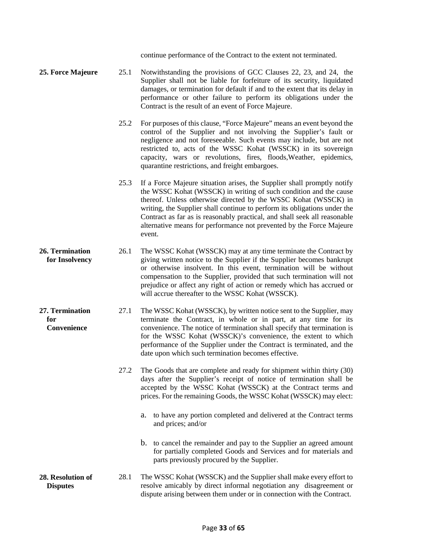continue performance of the Contract to the extent not terminated.

- **25. Force Majeure** 25.1 Notwithstanding the provisions of GCC Clauses 22, 23, and 24, the Supplier shall not be liable for forfeiture of its security, liquidated damages, or termination for default if and to the extent that its delay in performance or other failure to perform its obligations under the Contract is the result of an event of Force Majeure.
	- 25.2 For purposes of this clause, "Force Majeure" means an event beyond the control of the Supplier and not involving the Supplier's fault or negligence and not foreseeable. Such events may include, but are not restricted to, acts of the WSSC Kohat (WSSCK) in its sovereign capacity, wars or revolutions, fires, floods,Weather, epidemics, quarantine restrictions, and freight embargoes.
	- 25.3 If a Force Majeure situation arises, the Supplier shall promptly notify the WSSC Kohat (WSSCK) in writing of such condition and the cause thereof. Unless otherwise directed by the WSSC Kohat (WSSCK) in writing, the Supplier shall continue to perform its obligations under the Contract as far as is reasonably practical, and shall seek all reasonable alternative means for performance not prevented by the Force Majeure event.
- **26. Termination for Insolvency** 26.1 The WSSC Kohat (WSSCK) may at any time terminate the Contract by giving written notice to the Supplier if the Supplier becomes bankrupt or otherwise insolvent. In this event, termination will be without compensation to the Supplier, provided that such termination will not prejudice or affect any right of action or remedy which has accrued or will accrue thereafter to the WSSC Kohat (WSSCK).
- **27. Termination for Convenience** 27.1 The WSSC Kohat (WSSCK), by written notice sent to the Supplier, may terminate the Contract, in whole or in part, at any time for its convenience. The notice of termination shall specify that termination is for the WSSC Kohat (WSSCK)'s convenience, the extent to which performance of the Supplier under the Contract is terminated, and the date upon which such termination becomes effective.
	- 27.2 The Goods that are complete and ready for shipment within thirty (30) days after the Supplier's receipt of notice of termination shall be accepted by the WSSC Kohat (WSSCK) at the Contract terms and prices. For the remaining Goods, the WSSC Kohat (WSSCK) may elect:
		- a. to have any portion completed and delivered at the Contract terms and prices; and/or
		- b. to cancel the remainder and pay to the Supplier an agreed amount for partially completed Goods and Services and for materials and parts previously procured by the Supplier.
- **28. Resolution of Disputes** 28.1 The WSSC Kohat (WSSCK) and the Supplier shall make every effort to resolve amicably by direct informal negotiation any disagreement or dispute arising between them under or in connection with the Contract.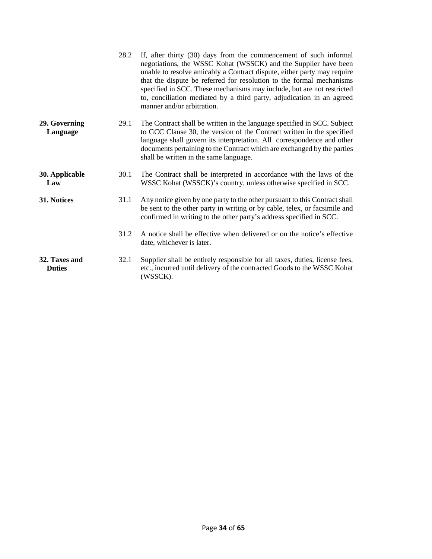|                                | 28.2 | If, after thirty (30) days from the commencement of such informal<br>negotiations, the WSSC Kohat (WSSCK) and the Supplier have been<br>unable to resolve amicably a Contract dispute, either party may require<br>that the dispute be referred for resolution to the formal mechanisms<br>specified in SCC. These mechanisms may include, but are not restricted<br>to, conciliation mediated by a third party, adjudication in an agreed<br>manner and/or arbitration. |
|--------------------------------|------|--------------------------------------------------------------------------------------------------------------------------------------------------------------------------------------------------------------------------------------------------------------------------------------------------------------------------------------------------------------------------------------------------------------------------------------------------------------------------|
| 29. Governing<br>Language      | 29.1 | The Contract shall be written in the language specified in SCC. Subject<br>to GCC Clause 30, the version of the Contract written in the specified<br>language shall govern its interpretation. All correspondence and other<br>documents pertaining to the Contract which are exchanged by the parties<br>shall be written in the same language.                                                                                                                         |
| 30. Applicable<br>Law          | 30.1 | The Contract shall be interpreted in accordance with the laws of the<br>WSSC Kohat (WSSCK)'s country, unless otherwise specified in SCC.                                                                                                                                                                                                                                                                                                                                 |
| 31. Notices                    | 31.1 | Any notice given by one party to the other pursuant to this Contract shall<br>be sent to the other party in writing or by cable, telex, or facsimile and<br>confirmed in writing to the other party's address specified in SCC.                                                                                                                                                                                                                                          |
|                                | 31.2 | A notice shall be effective when delivered or on the notice's effective<br>date, whichever is later.                                                                                                                                                                                                                                                                                                                                                                     |
| 32. Taxes and<br><b>Duties</b> | 32.1 | Supplier shall be entirely responsible for all taxes, duties, license fees,<br>etc., incurred until delivery of the contracted Goods to the WSSC Kohat<br>(WSSCK).                                                                                                                                                                                                                                                                                                       |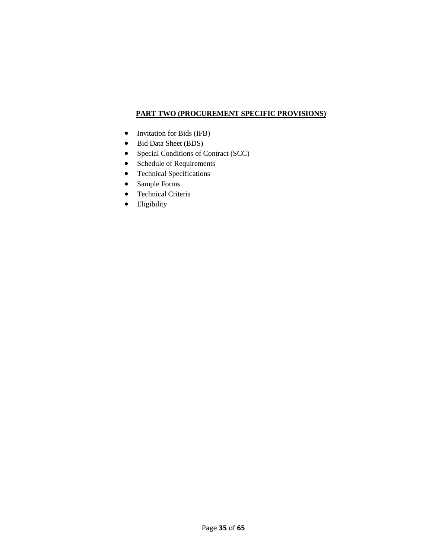### **PART TWO (PROCUREMENT SPECIFIC PROVISIONS)**

- Invitation for Bids (IFB)
- Bid Data Sheet (BDS)
- Special Conditions of Contract (SCC)
- Schedule of Requirements
- Technical Specifications
- Sample Forms
- Technical Criteria
- Eligibility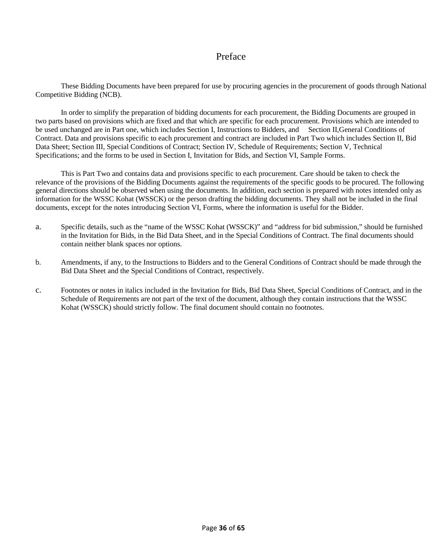### Preface

These Bidding Documents have been prepared for use by procuring agencies in the procurement of goods through National Competitive Bidding (NCB).

In order to simplify the preparation of bidding documents for each procurement, the Bidding Documents are grouped in two parts based on provisions which are fixed and that which are specific for each procurement. Provisions which are intended to be used unchanged are in Part one, which includes Section I, Instructions to Bidders, and Section II,General Conditions of Contract. Data and provisions specific to each procurement and contract are included in Part Two which includes Section II, Bid Data Sheet; Section III, Special Conditions of Contract; Section IV, Schedule of Requirements; Section V, Technical Specifications; and the forms to be used in Section I, Invitation for Bids, and Section VI, Sample Forms.

This is Part Two and contains data and provisions specific to each procurement. Care should be taken to check the relevance of the provisions of the Bidding Documents against the requirements of the specific goods to be procured. The following general directions should be observed when using the documents. In addition, each section is prepared with notes intended only as information for the WSSC Kohat (WSSCK) or the person drafting the bidding documents. They shall not be included in the final documents, except for the notes introducing Section VI, Forms, where the information is useful for the Bidder.

- a. Specific details, such as the "name of the WSSC Kohat (WSSCK)" and "address for bid submission," should be furnished in the Invitation for Bids, in the Bid Data Sheet, and in the Special Conditions of Contract. The final documents should contain neither blank spaces nor options.
- b. Amendments, if any, to the Instructions to Bidders and to the General Conditions of Contract should be made through the Bid Data Sheet and the Special Conditions of Contract, respectively.
- c. Footnotes or notes in italics included in the Invitation for Bids, Bid Data Sheet, Special Conditions of Contract, and in the Schedule of Requirements are not part of the text of the document, although they contain instructions that the WSSC Kohat (WSSCK) should strictly follow. The final document should contain no footnotes.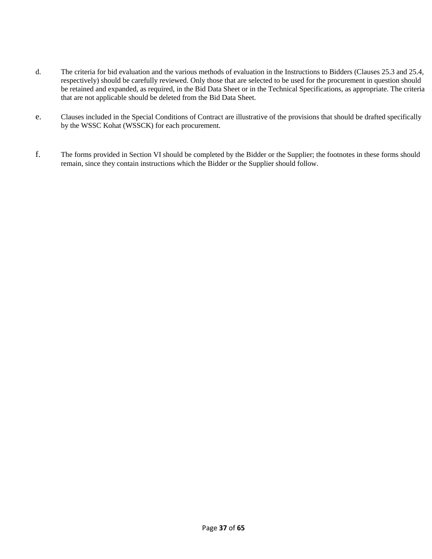- d. The criteria for bid evaluation and the various methods of evaluation in the Instructions to Bidders (Clauses 25.3 and 25.4, respectively) should be carefully reviewed. Only those that are selected to be used for the procurement in question should be retained and expanded, as required, in the Bid Data Sheet or in the Technical Specifications, as appropriate. The criteria that are not applicable should be deleted from the Bid Data Sheet.
- e. Clauses included in the Special Conditions of Contract are illustrative of the provisions that should be drafted specifically by the WSSC Kohat (WSSCK) for each procurement.
- f. The forms provided in Section VI should be completed by the Bidder or the Supplier; the footnotes in these forms should remain, since they contain instructions which the Bidder or the Supplier should follow.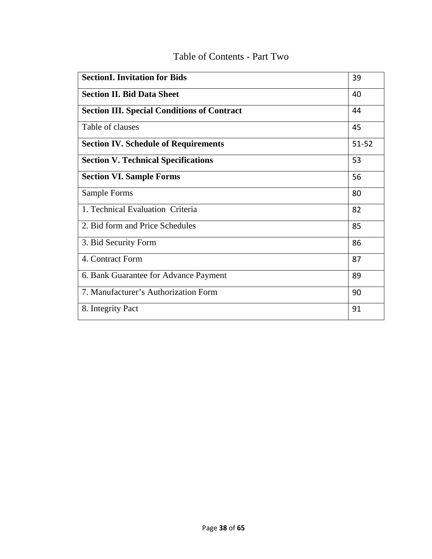| <b>SectionI. Invitation for Bids</b>               | 39        |
|----------------------------------------------------|-----------|
| <b>Section II. Bid Data Sheet</b>                  | 40        |
| <b>Section III. Special Conditions of Contract</b> | 44        |
| Table of clauses                                   | 45        |
| <b>Section IV. Schedule of Requirements</b>        | $51 - 52$ |
| <b>Section V. Technical Specifications</b>         | 53        |
| <b>Section VI. Sample Forms</b>                    | 56        |
| Sample Forms                                       | 80        |
| 1. Technical Evaluation Criteria                   | 82        |
| 2. Bid form and Price Schedules                    | 85        |
| 3. Bid Security Form                               | 86        |
| 4. Contract Form                                   | 87        |
| 6. Bank Guarantee for Advance Payment              | 89        |
| 7. Manufacturer's Authorization Form               | 90        |
| 8. Integrity Pact                                  | 91        |

## Table of Contents - Part Two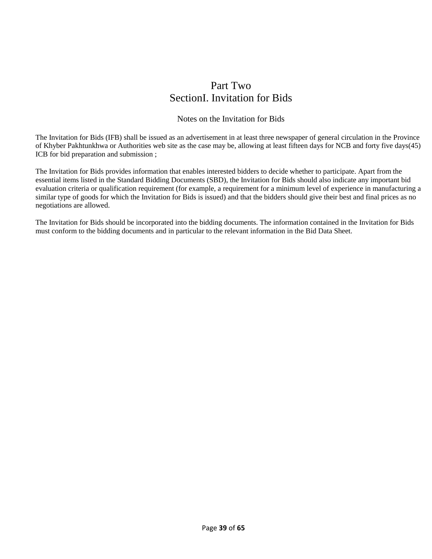## Part Two SectionI. Invitation for Bids

#### Notes on the Invitation for Bids

The Invitation for Bids (IFB) shall be issued as an advertisement in at least three newspaper of general circulation in the Province of Khyber Pakhtunkhwa or Authorities web site as the case may be, allowing at least fifteen days for NCB and forty five days(45) ICB for bid preparation and submission ;

The Invitation for Bids provides information that enables interested bidders to decide whether to participate. Apart from the essential items listed in the Standard Bidding Documents (SBD), the Invitation for Bids should also indicate any important bid evaluation criteria or qualification requirement (for example, a requirement for a minimum level of experience in manufacturing a similar type of goods for which the Invitation for Bids is issued) and that the bidders should give their best and final prices as no negotiations are allowed.

The Invitation for Bids should be incorporated into the bidding documents. The information contained in the Invitation for Bids must conform to the bidding documents and in particular to the relevant information in the Bid Data Sheet.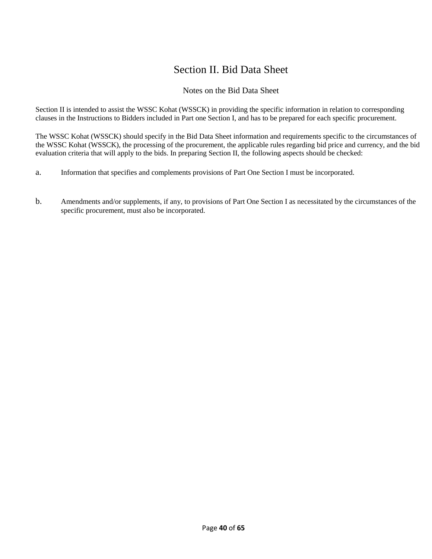## Section II. Bid Data Sheet

### Notes on the Bid Data Sheet

Section II is intended to assist the WSSC Kohat (WSSCK) in providing the specific information in relation to corresponding clauses in the Instructions to Bidders included in Part one Section I, and has to be prepared for each specific procurement.

The WSSC Kohat (WSSCK) should specify in the Bid Data Sheet information and requirements specific to the circumstances of the WSSC Kohat (WSSCK), the processing of the procurement, the applicable rules regarding bid price and currency, and the bid evaluation criteria that will apply to the bids. In preparing Section II, the following aspects should be checked:

- a. Information that specifies and complements provisions of Part One Section I must be incorporated.
- b. Amendments and/or supplements, if any, to provisions of Part One Section I as necessitated by the circumstances of the specific procurement, must also be incorporated.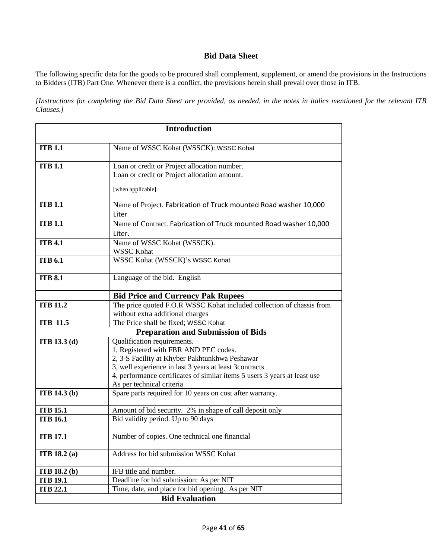### **Bid Data Sheet**

The following specific data for the goods to be procured shall complement, supplement, or amend the provisions in the Instructions to Bidders (ITB) Part One. Whenever there is a conflict, the provisions herein shall prevail over those in ITB.

*[Instructions for completing the Bid Data Sheet are provided, as needed, in the notes in italics mentioned for the relevant ITB Clauses.]*

| <b>Introduction</b> |                                                                                                                                                                                                                                                                                             |  |
|---------------------|---------------------------------------------------------------------------------------------------------------------------------------------------------------------------------------------------------------------------------------------------------------------------------------------|--|
| <b>ITB 1.1</b>      | Name of WSSC Kohat (WSSCK): WSSC Kohat                                                                                                                                                                                                                                                      |  |
| <b>ITB 1.1</b>      | Loan or credit or Project allocation number.<br>Loan or credit or Project allocation amount.<br>[when applicable]                                                                                                                                                                           |  |
| <b>ITB 1.1</b>      | Name of Project. Fabrication of Truck mounted Road washer 10,000<br>Liter                                                                                                                                                                                                                   |  |
| <b>ITB 1.1</b>      | Name of Contract. Fabrication of Truck mounted Road washer 10,000<br>Liter.                                                                                                                                                                                                                 |  |
| <b>ITB 4.1</b>      | Name of WSSC Kohat (WSSCK).<br><b>WSSC Kohat</b>                                                                                                                                                                                                                                            |  |
| <b>ITB 6.1</b>      | WSSC Kohat (WSSCK)'s WSSC Kohat                                                                                                                                                                                                                                                             |  |
| <b>ITB 8.1</b>      | Language of the bid. English                                                                                                                                                                                                                                                                |  |
|                     | <b>Bid Price and Currency Pak Rupees</b>                                                                                                                                                                                                                                                    |  |
| <b>ITB 11.2</b>     | The price quoted F.O.R WSSC Kohat included collection of chassis from<br>without extra additional charges                                                                                                                                                                                   |  |
| <b>ITB 11.5</b>     | The Price shall be fixed; WSSC Kohat                                                                                                                                                                                                                                                        |  |
|                     | <b>Preparation and Submission of Bids</b>                                                                                                                                                                                                                                                   |  |
| <b>ITB</b> 13.3 (d) | Qualification requirements.<br>1, Registered with FBR AND PEC codes.<br>2, 3-S Facility at Khyber Pakhtunkhwa Peshawar<br>3, well experience in last 3 years at least 3 contracts<br>4, performance certificates of similar items 5 users 3 years at least use<br>As per technical criteria |  |
| <b>ITB 14.3 (b)</b> | Spare parts required for 10 years on cost after warranty.                                                                                                                                                                                                                                   |  |
| <b>ITB 15.1</b>     | Amount of bid security. 2% in shape of call deposit only                                                                                                                                                                                                                                    |  |
| <b>ITB 16.1</b>     | Bid validity period. Up to 90 days                                                                                                                                                                                                                                                          |  |
| <b>ITB 17.1</b>     | Number of copies. One technical one financial                                                                                                                                                                                                                                               |  |
| <b>ITB</b> 18.2 (a) | Address for bid submission WSSC Kohat                                                                                                                                                                                                                                                       |  |
| <b>ITB 18.2 (b)</b> | IFB title and number.                                                                                                                                                                                                                                                                       |  |
| <b>ITB 19.1</b>     | Deadline for bid submission: As per NIT                                                                                                                                                                                                                                                     |  |
| <b>ITB 22.1</b>     | Time, date, and place for bid opening. As per NIT                                                                                                                                                                                                                                           |  |
|                     | <b>Bid Evaluation</b>                                                                                                                                                                                                                                                                       |  |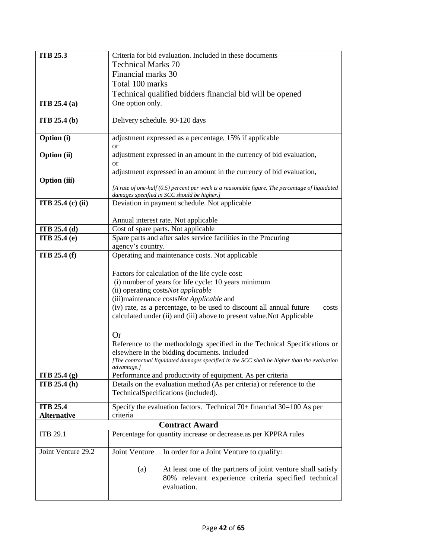| <b>ITB 25.3</b>          | Criteria for bid evaluation. Included in these documents                                                                                           |  |  |  |
|--------------------------|----------------------------------------------------------------------------------------------------------------------------------------------------|--|--|--|
|                          | <b>Technical Marks 70</b>                                                                                                                          |  |  |  |
|                          | Financial marks 30                                                                                                                                 |  |  |  |
|                          | Total 100 marks                                                                                                                                    |  |  |  |
|                          | Technical qualified bidders financial bid will be opened                                                                                           |  |  |  |
| <b>ITB</b> 25.4 (a)      | One option only.                                                                                                                                   |  |  |  |
|                          |                                                                                                                                                    |  |  |  |
| <b>ITB</b> 25.4 (b)      | Delivery schedule. 90-120 days                                                                                                                     |  |  |  |
| Option (i)               | adjustment expressed as a percentage, 15% if applicable                                                                                            |  |  |  |
|                          | <sub>or</sub>                                                                                                                                      |  |  |  |
| <b>Option</b> (ii)       | adjustment expressed in an amount in the currency of bid evaluation,                                                                               |  |  |  |
|                          | <sub>or</sub>                                                                                                                                      |  |  |  |
|                          | adjustment expressed in an amount in the currency of bid evaluation,                                                                               |  |  |  |
| <b>Option</b> (iii)      |                                                                                                                                                    |  |  |  |
|                          | $[A$ rate of one-half $(0.5)$ percent per week is a reasonable figure. The percentage of liquidated<br>damages specified in SCC should be higher.] |  |  |  |
| <b>ITB</b> 25.4 (c) (ii) | Deviation in payment schedule. Not applicable                                                                                                      |  |  |  |
|                          |                                                                                                                                                    |  |  |  |
|                          | Annual interest rate. Not applicable                                                                                                               |  |  |  |
| <b>ITB</b> 25.4 (d)      | Cost of spare parts. Not applicable                                                                                                                |  |  |  |
| <b>ITB 25.4 (e)</b>      | Spare parts and after sales service facilities in the Procuring                                                                                    |  |  |  |
|                          | agency's country.                                                                                                                                  |  |  |  |
| <b>ITB 25.4 (f)</b>      | Operating and maintenance costs. Not applicable                                                                                                    |  |  |  |
|                          |                                                                                                                                                    |  |  |  |
|                          | Factors for calculation of the life cycle cost:                                                                                                    |  |  |  |
|                          | (i) number of years for life cycle: 10 years minimum<br>(ii) operating costsNot applicable                                                         |  |  |  |
|                          | (iii)maintenance costsNot Applicable and                                                                                                           |  |  |  |
|                          | (iv) rate, as a percentage, to be used to discount all annual future<br>costs                                                                      |  |  |  |
|                          | calculated under (ii) and (iii) above to present value. Not Applicable                                                                             |  |  |  |
|                          |                                                                                                                                                    |  |  |  |
|                          | <b>Or</b>                                                                                                                                          |  |  |  |
|                          | Reference to the methodology specified in the Technical Specifications or                                                                          |  |  |  |
|                          | elsewhere in the bidding documents. Included                                                                                                       |  |  |  |
|                          | [The contractual liquidated damages specified in the SCC shall be higher than the evaluation<br>advantage.]                                        |  |  |  |
| <b>ITB</b> 25.4 $(g)$    | Performance and productivity of equipment. As per criteria                                                                                         |  |  |  |
| <b>ITB</b> 25.4 $(h)$    | Details on the evaluation method (As per criteria) or reference to the                                                                             |  |  |  |
|                          | TechnicalSpecifications (included).                                                                                                                |  |  |  |
| <b>ITB 25.4</b>          |                                                                                                                                                    |  |  |  |
| <b>Alternative</b>       | Specify the evaluation factors. Technical $70+$ financial $30=100$ As per<br>criteria                                                              |  |  |  |
|                          | <b>Contract Award</b>                                                                                                                              |  |  |  |
| <b>ITB 29.1</b>          | Percentage for quantity increase or decrease.as per KPPRA rules                                                                                    |  |  |  |
|                          |                                                                                                                                                    |  |  |  |
| Joint Venture 29.2       | Joint Venture<br>In order for a Joint Venture to qualify:                                                                                          |  |  |  |
|                          |                                                                                                                                                    |  |  |  |
|                          | (a)<br>At least one of the partners of joint venture shall satisfy                                                                                 |  |  |  |
|                          | 80% relevant experience criteria specified technical                                                                                               |  |  |  |
|                          | evaluation.                                                                                                                                        |  |  |  |
|                          |                                                                                                                                                    |  |  |  |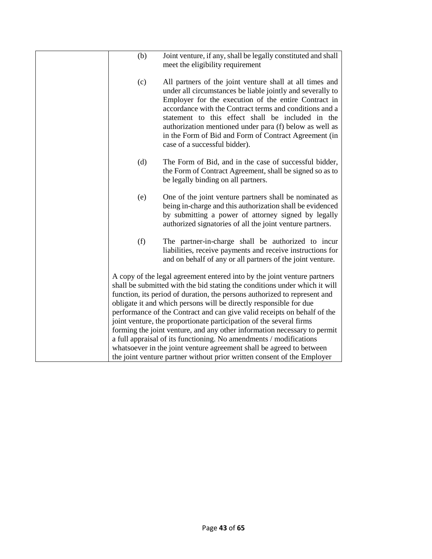| (b) | Joint venture, if any, shall be legally constituted and shall<br>meet the eligibility requirement                                                                                                                                                                                                                                                                                                                                                                                                                                                                                                              |
|-----|----------------------------------------------------------------------------------------------------------------------------------------------------------------------------------------------------------------------------------------------------------------------------------------------------------------------------------------------------------------------------------------------------------------------------------------------------------------------------------------------------------------------------------------------------------------------------------------------------------------|
| (c) | All partners of the joint venture shall at all times and<br>under all circumstances be liable jointly and severally to<br>Employer for the execution of the entire Contract in<br>accordance with the Contract terms and conditions and a<br>statement to this effect shall be included in the<br>authorization mentioned under para (f) below as well as<br>in the Form of Bid and Form of Contract Agreement (in<br>case of a successful bidder).                                                                                                                                                            |
| (d) | The Form of Bid, and in the case of successful bidder,<br>the Form of Contract Agreement, shall be signed so as to<br>be legally binding on all partners.                                                                                                                                                                                                                                                                                                                                                                                                                                                      |
| (e) | One of the joint venture partners shall be nominated as<br>being in-charge and this authorization shall be evidenced<br>by submitting a power of attorney signed by legally<br>authorized signatories of all the joint venture partners.                                                                                                                                                                                                                                                                                                                                                                       |
| (f) | The partner-in-charge shall be authorized to incur<br>liabilities, receive payments and receive instructions for<br>and on behalf of any or all partners of the joint venture.                                                                                                                                                                                                                                                                                                                                                                                                                                 |
|     | A copy of the legal agreement entered into by the joint venture partners<br>shall be submitted with the bid stating the conditions under which it will<br>function, its period of duration, the persons authorized to represent and<br>obligate it and which persons will be directly responsible for due<br>performance of the Contract and can give valid receipts on behalf of the<br>joint venture, the proportionate participation of the several firms<br>forming the joint venture, and any other information necessary to permit<br>a full appraisal of its functioning. No amendments / modifications |
|     | whatsoever in the joint venture agreement shall be agreed to between<br>the joint venture partner without prior written consent of the Employer                                                                                                                                                                                                                                                                                                                                                                                                                                                                |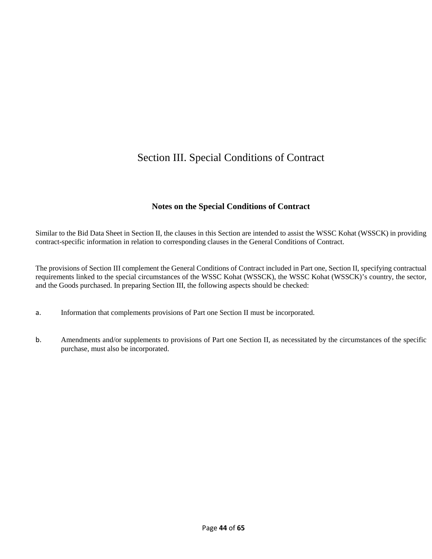## Section III. Special Conditions of Contract

### **Notes on the Special Conditions of Contract**

Similar to the Bid Data Sheet in Section II, the clauses in this Section are intended to assist the WSSC Kohat (WSSCK) in providing contract-specific information in relation to corresponding clauses in the General Conditions of Contract.

The provisions of Section III complement the General Conditions of Contract included in Part one, Section II, specifying contractual requirements linked to the special circumstances of the WSSC Kohat (WSSCK), the WSSC Kohat (WSSCK)'s country, the sector, and the Goods purchased. In preparing Section III, the following aspects should be checked:

- a. Information that complements provisions of Part one Section II must be incorporated.
- b. Amendments and/or supplements to provisions of Part one Section II, as necessitated by the circumstances of the specific purchase, must also be incorporated.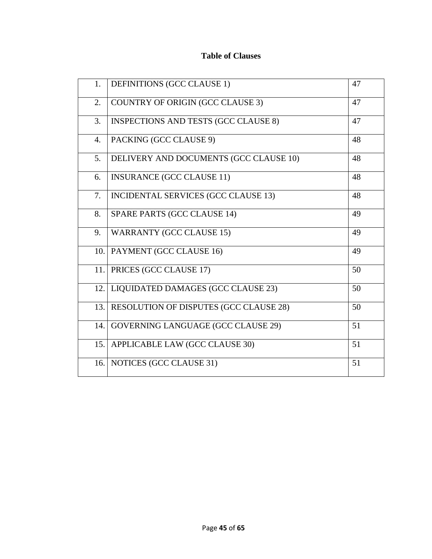## **Table of Clauses**

| 1.  | DEFINITIONS (GCC CLAUSE 1)                    | 47 |
|-----|-----------------------------------------------|----|
| 2.  | COUNTRY OF ORIGIN (GCC CLAUSE 3)              | 47 |
| 3.  | <b>INSPECTIONS AND TESTS (GCC CLAUSE 8)</b>   | 47 |
| 4.  | PACKING (GCC CLAUSE 9)                        | 48 |
| 5.  | DELIVERY AND DOCUMENTS (GCC CLAUSE 10)        | 48 |
| 6.  | <b>INSURANCE (GCC CLAUSE 11)</b>              | 48 |
| 7.  | INCIDENTAL SERVICES (GCC CLAUSE 13)           | 48 |
| 8.  | SPARE PARTS (GCC CLAUSE 14)                   | 49 |
| 9.  | <b>WARRANTY (GCC CLAUSE 15)</b>               | 49 |
| 10. | PAYMENT (GCC CLAUSE 16)                       | 49 |
| 11. | PRICES (GCC CLAUSE 17)                        | 50 |
| 12. | LIQUIDATED DAMAGES (GCC CLAUSE 23)            | 50 |
| 13. | <b>RESOLUTION OF DISPUTES (GCC CLAUSE 28)</b> | 50 |
| 14. | GOVERNING LANGUAGE (GCC CLAUSE 29)            | 51 |
| 15. | APPLICABLE LAW (GCC CLAUSE 30)                | 51 |
| 16. | NOTICES (GCC CLAUSE 31)                       | 51 |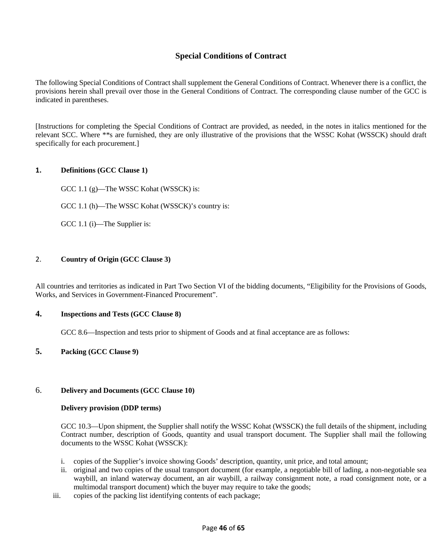### **Special Conditions of Contract**

The following Special Conditions of Contract shall supplement the General Conditions of Contract. Whenever there is a conflict, the provisions herein shall prevail over those in the General Conditions of Contract. The corresponding clause number of the GCC is indicated in parentheses.

[Instructions for completing the Special Conditions of Contract are provided, as needed, in the notes in italics mentioned for the relevant SCC. Where \*\*s are furnished, they are only illustrative of the provisions that the WSSC Kohat (WSSCK) should draft specifically for each procurement.]

#### **1. Definitions (GCC Clause 1)**

GCC 1.1 (g)—The WSSC Kohat (WSSCK) is:

GCC 1.1 (h)—The WSSC Kohat (WSSCK)'s country is:

GCC 1.1 (i)—The Supplier is:

#### 2. **Country of Origin (GCC Clause 3)**

All countries and territories as indicated in Part Two Section VI of the bidding documents, "Eligibility for the Provisions of Goods, Works, and Services in Government-Financed Procurement".

#### **4. Inspections and Tests (GCC Clause 8)**

GCC 8.6—Inspection and tests prior to shipment of Goods and at final acceptance are as follows:

#### **5. Packing (GCC Clause 9)**

#### 6. **Delivery and Documents (GCC Clause 10)**

#### **Delivery provision (DDP terms)**

GCC 10.3—Upon shipment, the Supplier shall notify the WSSC Kohat (WSSCK) the full details of the shipment, including Contract number, description of Goods, quantity and usual transport document. The Supplier shall mail the following documents to the WSSC Kohat (WSSCK):

- i. copies of the Supplier's invoice showing Goods' description, quantity, unit price, and total amount;
- ii. original and two copies of the usual transport document (for example, a negotiable bill of lading, a non-negotiable sea waybill, an inland waterway document, an air waybill, a railway consignment note, a road consignment note, or a multimodal transport document) which the buyer may require to take the goods;
- iii. copies of the packing list identifying contents of each package;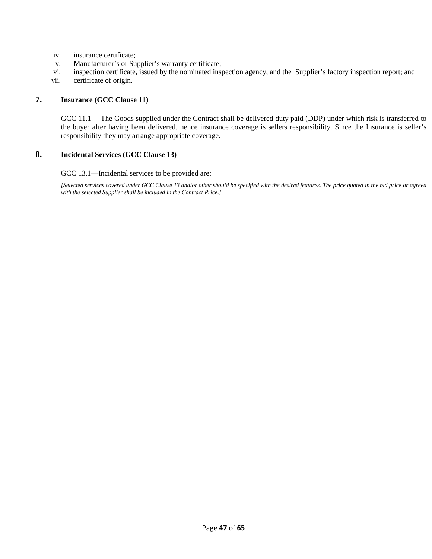- iv. insurance certificate;
- v. Manufacturer's or Supplier's warranty certificate;
- vi. inspection certificate, issued by the nominated inspection agency, and the Supplier's factory inspection report; and
- vii. certificate of origin.

#### **7. Insurance (GCC Clause 11)**

GCC 11.1— The Goods supplied under the Contract shall be delivered duty paid (DDP) under which risk is transferred to the buyer after having been delivered, hence insurance coverage is sellers responsibility. Since the Insurance is seller's responsibility they may arrange appropriate coverage.

#### **8. Incidental Services (GCC Clause 13)**

GCC 13.1—Incidental services to be provided are:

*[Selected services covered under GCC Clause 13 and/or other should be specified with the desired features. The price quoted in the bid price or agreed with the selected Supplier shall be included in the Contract Price.]*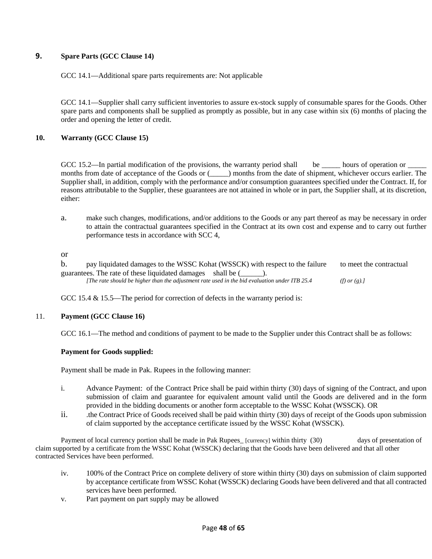#### **9. Spare Parts (GCC Clause 14)**

#### GCC 14.1—Additional spare parts requirements are: Not applicable

GCC 14.1—Supplier shall carry sufficient inventories to assure ex-stock supply of consumable spares for the Goods. Other spare parts and components shall be supplied as promptly as possible, but in any case within six (6) months of placing the order and opening the letter of credit.

#### **10. Warranty (GCC Clause 15)**

GCC 15.2—In partial modification of the provisions, the warranty period shall be  $\_\_\_\_\_\$ hours of operation or  $\_\_\_\_\$ months from date of acceptance of the Goods or  $(\_\_\_\)$  months from the date of shipment, whichever occurs earlier. The Supplier shall, in addition, comply with the performance and/or consumption guarantees specified under the Contract. If, for reasons attributable to the Supplier, these guarantees are not attained in whole or in part, the Supplier shall, at its discretion, either:

a. make such changes, modifications, and/or additions to the Goods or any part thereof as may be necessary in order to attain the contractual guarantees specified in the Contract at its own cost and expense and to carry out further performance tests in accordance with SCC 4,

or

| pay liquidated damages to the WSSC Kohat (WSSCK) with respect to the failure<br>b.            | to meet the contractual |
|-----------------------------------------------------------------------------------------------|-------------------------|
| guarantees. The rate of these liquidated damages shall be ().                                 |                         |
| [The rate should be higher than the adjustment rate used in the bid evaluation under ITB 25.4 | $(f)$ or $(g)$ .]       |

GCC 15.4 & 15.5—The period for correction of defects in the warranty period is:

#### 11. **Payment (GCC Clause 16)**

GCC 16.1—The method and conditions of payment to be made to the Supplier under this Contract shall be as follows:

#### **Payment for Goods supplied:**

Payment shall be made in Pak. Rupees in the following manner:

- i. Advance Payment: of the Contract Price shall be paid within thirty (30) days of signing of the Contract, and upon submission of claim and guarantee for equivalent amount valid until the Goods are delivered and in the form provided in the bidding documents or another form acceptable to the WSSC Kohat (WSSCK). OR
- ii. .the Contract Price of Goods received shall be paid within thirty (30) days of receipt of the Goods upon submission of claim supported by the acceptance certificate issued by the WSSC Kohat (WSSCK).

Payment of local currency portion shall be made in Pak Rupees [currency] within thirty (30) days of presentation of claim supported by a certificate from the WSSC Kohat (WSSCK) declaring that the Goods have been delivered and that all other contracted Services have been performed.

- iv. 100% of the Contract Price on complete delivery of store within thirty (30) days on submission of claim supported by acceptance certificate from WSSC Kohat (WSSCK) declaring Goods have been delivered and that all contracted services have been performed.
- v. Part payment on part supply may be allowed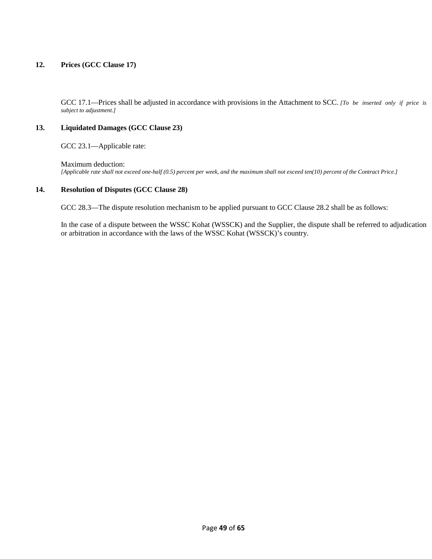#### **12. Prices (GCC Clause 17)**

GCC 17.1—Prices shall be adjusted in accordance with provisions in the Attachment to SCC. *[To be inserted only if price is subject to adjustment.]*

#### **13. Liquidated Damages (GCC Clause 23)**

GCC 23.1—Applicable rate:

Maximum deduction: *[Applicable rate shall not exceed one-half (0.5) percent per week, and the maximum shall not exceed ten(10) percent of the Contract Price.]*

#### **14. Resolution of Disputes (GCC Clause 28)**

GCC 28.3—The dispute resolution mechanism to be applied pursuant to GCC Clause 28.2 shall be as follows:

In the case of a dispute between the WSSC Kohat (WSSCK) and the Supplier, the dispute shall be referred to adjudication or arbitration in accordance with the laws of the WSSC Kohat (WSSCK)'s country.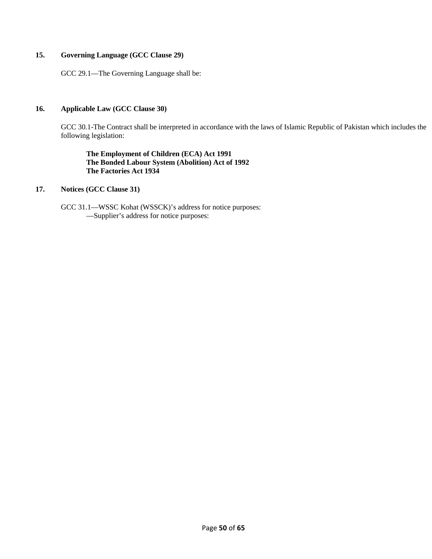#### **15. Governing Language (GCC Clause 29)**

GCC 29.1—The Governing Language shall be:

#### **16. Applicable Law (GCC Clause 30)**

GCC 30.1-The Contract shall be interpreted in accordance with the laws of Islamic Republic of Pakistan which includes the following legislation:

**The Employment of Children (ECA) Act 1991 The Bonded Labour System (Abolition) Act of 1992 The Factories Act 1934**

#### **17. Notices (GCC Clause 31)**

GCC 31.1—WSSC Kohat (WSSCK)'s address for notice purposes: —Supplier's address for notice purposes: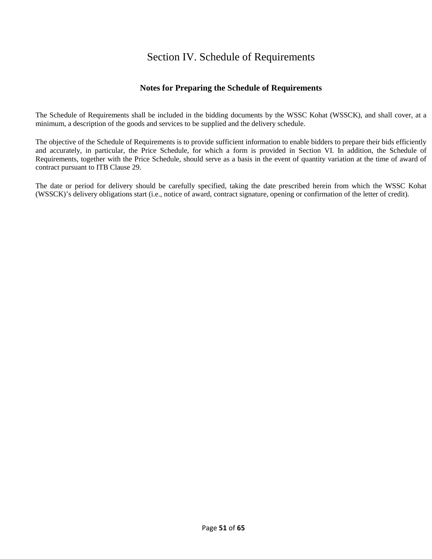## Section IV. Schedule of Requirements

### **Notes for Preparing the Schedule of Requirements**

The Schedule of Requirements shall be included in the bidding documents by the WSSC Kohat (WSSCK), and shall cover, at a minimum, a description of the goods and services to be supplied and the delivery schedule.

The objective of the Schedule of Requirements is to provide sufficient information to enable bidders to prepare their bids efficiently and accurately, in particular, the Price Schedule, for which a form is provided in Section VI. In addition, the Schedule of Requirements, together with the Price Schedule, should serve as a basis in the event of quantity variation at the time of award of contract pursuant to ITB Clause 29.

The date or period for delivery should be carefully specified, taking the date prescribed herein from which the WSSC Kohat (WSSCK)'s delivery obligations start (i.e., notice of award, contract signature, opening or confirmation of the letter of credit).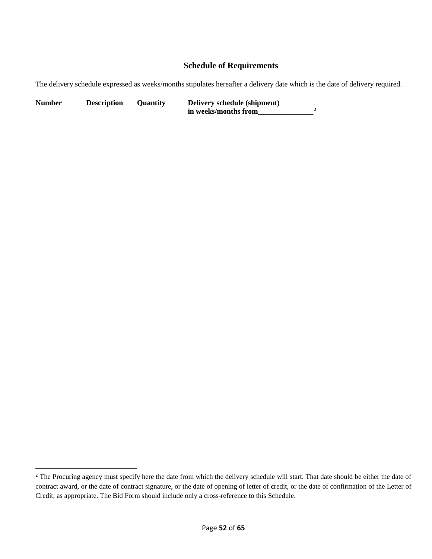## **Schedule of Requirements**

The delivery schedule expressed as weeks/months stipulates hereafter a delivery date which is the date of delivery required.

| Number | <b>Description</b> | <b>Ouantity</b> | Delivery schedule (shipment) |  |
|--------|--------------------|-----------------|------------------------------|--|
|        |                    |                 | in weeks/months from         |  |

<span id="page-51-0"></span><sup>&</sup>lt;sup>2</sup> The Procuring agency must specify here the date from which the delivery schedule will start. That date should be either the date of contract award, or the date of contract signature, or the date of opening of letter of credit, or the date of confirmation of the Letter of Credit, as appropriate. The Bid Form should include only a cross-reference to this Schedule.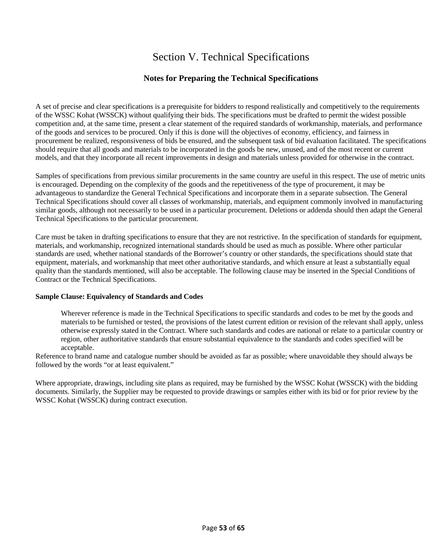## Section V. Technical Specifications

### **Notes for Preparing the Technical Specifications**

A set of precise and clear specifications is a prerequisite for bidders to respond realistically and competitively to the requirements of the WSSC Kohat (WSSCK) without qualifying their bids. The specifications must be drafted to permit the widest possible competition and, at the same time, present a clear statement of the required standards of workmanship, materials, and performance of the goods and services to be procured. Only if this is done will the objectives of economy, efficiency, and fairness in procurement be realized, responsiveness of bids be ensured, and the subsequent task of bid evaluation facilitated. The specifications should require that all goods and materials to be incorporated in the goods be new, unused, and of the most recent or current models, and that they incorporate all recent improvements in design and materials unless provided for otherwise in the contract.

Samples of specifications from previous similar procurements in the same country are useful in this respect. The use of metric units is encouraged. Depending on the complexity of the goods and the repetitiveness of the type of procurement, it may be advantageous to standardize the General Technical Specifications and incorporate them in a separate subsection. The General Technical Specifications should cover all classes of workmanship, materials, and equipment commonly involved in manufacturing similar goods, although not necessarily to be used in a particular procurement. Deletions or addenda should then adapt the General Technical Specifications to the particular procurement.

Care must be taken in drafting specifications to ensure that they are not restrictive. In the specification of standards for equipment, materials, and workmanship, recognized international standards should be used as much as possible. Where other particular standards are used, whether national standards of the Borrower's country or other standards, the specifications should state that equipment, materials, and workmanship that meet other authoritative standards, and which ensure at least a substantially equal quality than the standards mentioned, will also be acceptable. The following clause may be inserted in the Special Conditions of Contract or the Technical Specifications.

#### **Sample Clause: Equivalency of Standards and Codes**

Wherever reference is made in the Technical Specifications to specific standards and codes to be met by the goods and materials to be furnished or tested, the provisions of the latest current edition or revision of the relevant shall apply, unless otherwise expressly stated in the Contract. Where such standards and codes are national or relate to a particular country or region, other authoritative standards that ensure substantial equivalence to the standards and codes specified will be acceptable.

Reference to brand name and catalogue number should be avoided as far as possible; where unavoidable they should always be followed by the words "or at least equivalent."

Where appropriate, drawings, including site plans as required, may be furnished by the WSSC Kohat (WSSCK) with the bidding documents. Similarly, the Supplier may be requested to provide drawings or samples either with its bid or for prior review by the WSSC Kohat (WSSCK) during contract execution.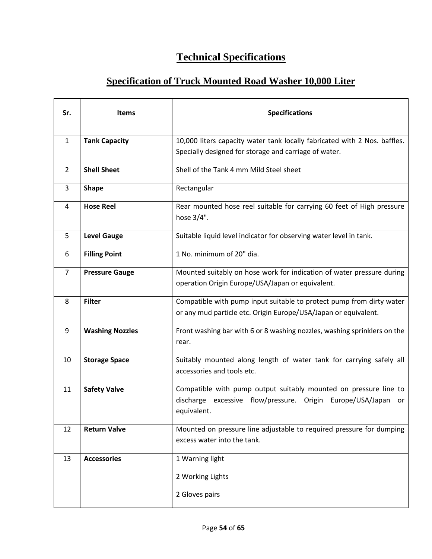## **Technical Specifications**

## **Specification of Truck Mounted Road Washer 10,000 Liter**

| Sr.            | <b>Items</b>           | <b>Specifications</b>                                                                                                                            |
|----------------|------------------------|--------------------------------------------------------------------------------------------------------------------------------------------------|
| $\mathbf{1}$   | <b>Tank Capacity</b>   | 10,000 liters capacity water tank locally fabricated with 2 Nos. baffles.                                                                        |
|                |                        | Specially designed for storage and carriage of water.                                                                                            |
| $\overline{2}$ | <b>Shell Sheet</b>     | Shell of the Tank 4 mm Mild Steel sheet                                                                                                          |
| 3              | <b>Shape</b>           | Rectangular                                                                                                                                      |
| 4              | <b>Hose Reel</b>       | Rear mounted hose reel suitable for carrying 60 feet of High pressure<br>hose 3/4".                                                              |
| 5              | <b>Level Gauge</b>     | Suitable liquid level indicator for observing water level in tank.                                                                               |
| 6              | <b>Filling Point</b>   | 1 No. minimum of 20" dia.                                                                                                                        |
| $\overline{7}$ | <b>Pressure Gauge</b>  | Mounted suitably on hose work for indication of water pressure during<br>operation Origin Europe/USA/Japan or equivalent.                        |
| 8              | <b>Filter</b>          | Compatible with pump input suitable to protect pump from dirty water<br>or any mud particle etc. Origin Europe/USA/Japan or equivalent.          |
| 9              | <b>Washing Nozzles</b> | Front washing bar with 6 or 8 washing nozzles, washing sprinklers on the<br>rear.                                                                |
| 10             | <b>Storage Space</b>   | Suitably mounted along length of water tank for carrying safely all<br>accessories and tools etc.                                                |
| 11             | <b>Safety Valve</b>    | Compatible with pump output suitably mounted on pressure line to<br>discharge excessive flow/pressure. Origin Europe/USA/Japan or<br>equivalent. |
| 12             | <b>Return Valve</b>    | Mounted on pressure line adjustable to required pressure for dumping<br>excess water into the tank.                                              |
| 13             | <b>Accessories</b>     | 1 Warning light                                                                                                                                  |
|                |                        | 2 Working Lights<br>2 Gloves pairs                                                                                                               |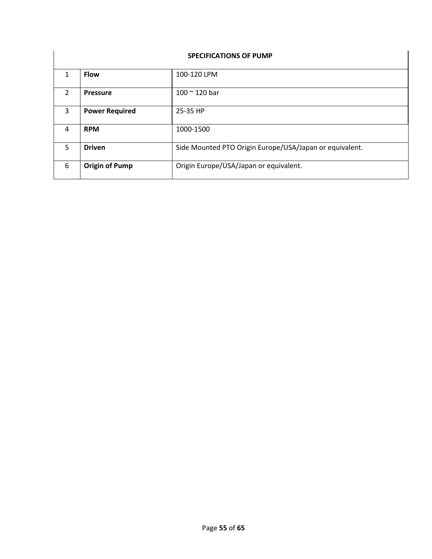|                | <b>SPECIFICATIONS OF PUMP</b> |                                                         |  |
|----------------|-------------------------------|---------------------------------------------------------|--|
| 1              | <b>Flow</b>                   | 100-120 LPM                                             |  |
| $\overline{2}$ | <b>Pressure</b>               | $100 \approx 120$ bar                                   |  |
| 3              | <b>Power Required</b>         | 25-35 HP                                                |  |
| 4              | <b>RPM</b>                    | 1000-1500                                               |  |
| 5              | <b>Driven</b>                 | Side Mounted PTO Origin Europe/USA/Japan or equivalent. |  |
| 6              | <b>Origin of Pump</b>         | Origin Europe/USA/Japan or equivalent.                  |  |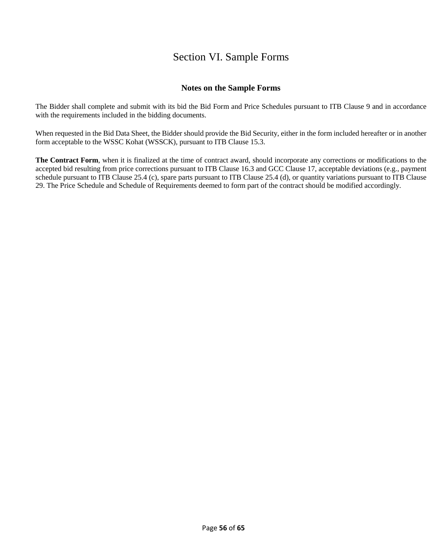## Section VI. Sample Forms

### **Notes on the Sample Forms**

The Bidder shall complete and submit with its bid the Bid Form and Price Schedules pursuant to ITB Clause 9 and in accordance with the requirements included in the bidding documents.

When requested in the Bid Data Sheet, the Bidder should provide the Bid Security, either in the form included hereafter or in another form acceptable to the WSSC Kohat (WSSCK), pursuant to ITB Clause 15.3.

**The Contract Form**, when it is finalized at the time of contract award, should incorporate any corrections or modifications to the accepted bid resulting from price corrections pursuant to ITB Clause 16.3 and GCC Clause 17, acceptable deviations (e.g., payment schedule pursuant to ITB Clause 25.4 (c), spare parts pursuant to ITB Clause 25.4 (d), or quantity variations pursuant to ITB Clause 29. The Price Schedule and Schedule of Requirements deemed to form part of the contract should be modified accordingly.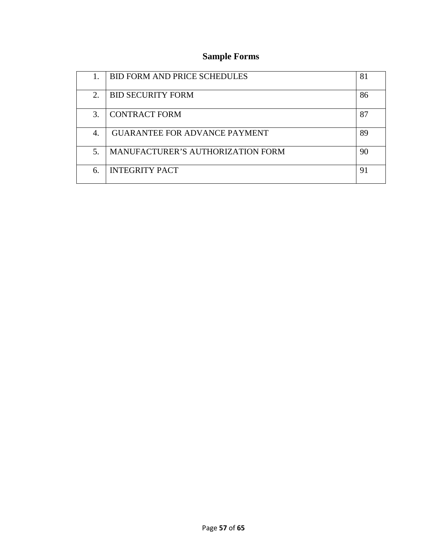## **Sample Forms**

|    | <b>BID FORM AND PRICE SCHEDULES</b>      | 81 |
|----|------------------------------------------|----|
|    |                                          |    |
| 2  | <b>BID SECURITY FORM</b>                 | 86 |
|    |                                          |    |
|    |                                          |    |
| 3. | <b>CONTRACT FORM</b>                     | 87 |
|    |                                          |    |
|    |                                          |    |
| 4. | <b>GUARANTEE FOR ADVANCE PAYMENT</b>     | 89 |
|    |                                          |    |
| 5. | <b>MANUFACTURER'S AUTHORIZATION FORM</b> | 90 |
|    |                                          |    |
|    |                                          |    |
| 6. | <b>INTEGRITY PACT</b>                    | 91 |
|    |                                          |    |
|    |                                          |    |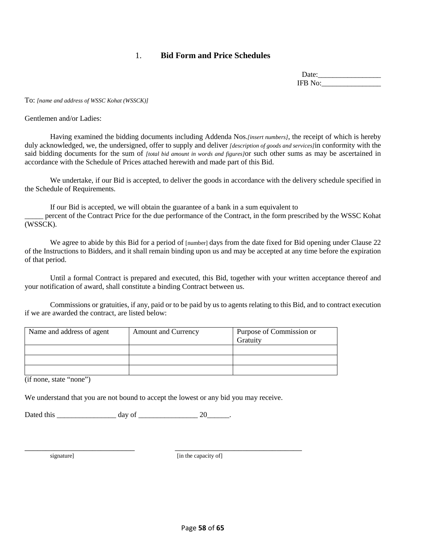#### 1. **Bid Form and Price Schedules**

| Date:   |  |  |
|---------|--|--|
| IFB No: |  |  |

To: *[name and address of WSSC Kohat (WSSCK)]*

Gentlemen and/or Ladies:

Having examined the bidding documents including Addenda Nos.*[insert numbers]*, the receipt of which is hereby duly acknowledged, we, the undersigned, offer to supply and deliver *[description of goods and services]*in conformity with the said bidding documents for the sum of *[total bid amount in words and figures]*or such other sums as may be ascertained in accordance with the Schedule of Prices attached herewith and made part of this Bid.

We undertake, if our Bid is accepted, to deliver the goods in accordance with the delivery schedule specified in the Schedule of Requirements.

If our Bid is accepted, we will obtain the guarantee of a bank in a sum equivalent to percent of the Contract Price for the due performance of the Contract, in the form prescribed by the WSSC Kohat (WSSCK).

We agree to abide by this Bid for a period of [number] days from the date fixed for Bid opening under Clause 22 of the Instructions to Bidders, and it shall remain binding upon us and may be accepted at any time before the expiration of that period.

Until a formal Contract is prepared and executed, this Bid, together with your written acceptance thereof and your notification of award, shall constitute a binding Contract between us.

Commissions or gratuities, if any, paid or to be paid by us to agents relating to this Bid, and to contract execution if we are awarded the contract, are listed below:

| Name and address of agent | <b>Amount and Currency</b> | Purpose of Commission or<br>Gratuity |
|---------------------------|----------------------------|--------------------------------------|
|                           |                            |                                      |
|                           |                            |                                      |
|                           |                            |                                      |

(if none, state "none")

We understand that you are not bound to accept the lowest or any bid you may receive.

Dated this  $\frac{1}{20}$  day of  $\frac{1}{20}$ .

\_\_\_\_\_\_\_\_\_\_\_\_\_\_\_\_\_\_\_\_\_\_\_\_\_\_ \_\_\_\_\_\_\_\_\_\_\_\_\_\_\_\_\_\_\_\_\_\_\_\_\_\_\_\_\_\_ signature] [in the capacity of]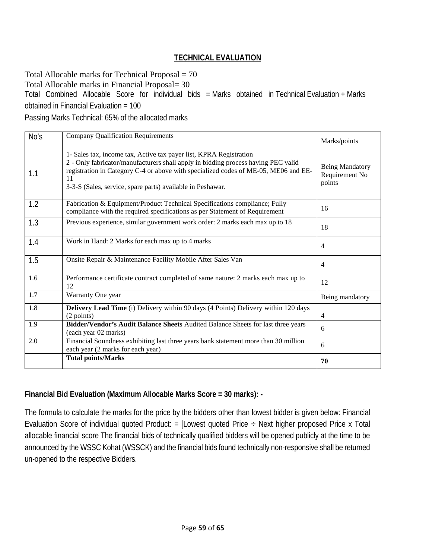## **TECHNICAL EVALUATION**

Total Allocable marks for Technical Proposal  $= 70$ 

Total Allocable marks in Financial Proposal= 30

Total Combined Allocable Score for individual bids = Marks obtained in Technical Evaluation + Marks

obtained in Financial Evaluation = 100

Passing Marks Technical: 65% of the allocated marks

| No's | <b>Company Qualification Requirements</b>                                                                                                                                                                                                                                                                          | Marks/points                                       |
|------|--------------------------------------------------------------------------------------------------------------------------------------------------------------------------------------------------------------------------------------------------------------------------------------------------------------------|----------------------------------------------------|
| 1.1  | 1- Sales tax, income tax, Active tax payer list, KPRA Registration<br>2 - Only fabricator/manufacturers shall apply in bidding process having PEC valid<br>registration in Category C-4 or above with specialized codes of ME-05, ME06 and EE-<br>11<br>3-3-S (Sales, service, spare parts) available in Peshawar. | <b>Being Mandatory</b><br>Requirement No<br>points |
| 1.2  | Fabrication & Equipment/Product Technical Specifications compliance; Fully<br>compliance with the required specifications as per Statement of Requirement                                                                                                                                                          | 16                                                 |
| 1.3  | Previous experience, similar government work order: 2 marks each max up to 18                                                                                                                                                                                                                                      | 18                                                 |
| 1.4  | Work in Hand: 2 Marks for each max up to 4 marks                                                                                                                                                                                                                                                                   | $\overline{4}$                                     |
| 1.5  | Onsite Repair & Maintenance Facility Mobile After Sales Van                                                                                                                                                                                                                                                        | 4                                                  |
| 1.6  | Performance certificate contract completed of same nature: 2 marks each max up to<br>12                                                                                                                                                                                                                            | 12                                                 |
| 1.7  | Warranty One year                                                                                                                                                                                                                                                                                                  | Being mandatory                                    |
| 1.8  | Delivery Lead Time (i) Delivery within 90 days (4 Points) Delivery within 120 days<br>(2 points)                                                                                                                                                                                                                   | 4                                                  |
| 1.9  | Bidder/Vendor's Audit Balance Sheets Audited Balance Sheets for last three years<br>(each year 02 marks)                                                                                                                                                                                                           | 6                                                  |
| 2.0  | Financial Soundness exhibiting last three years bank statement more than 30 million<br>each year (2 marks for each year)                                                                                                                                                                                           | 6                                                  |
|      | <b>Total points/Marks</b>                                                                                                                                                                                                                                                                                          | 70                                                 |

### **Financial Bid Evaluation (Maximum Allocable Marks Score = 30 marks): -**

The formula to calculate the marks for the price by the bidders other than lowest bidder is given below: Financial Evaluation Score of individual quoted Product: = [Lowest quoted Price  $\div$  Next higher proposed Price x Total allocable financial score The financial bids of technically qualified bidders will be opened publicly at the time to be announced by the WSSC Kohat (WSSCK) and the financial bids found technically non-responsive shall be returned un-opened to the respective Bidders.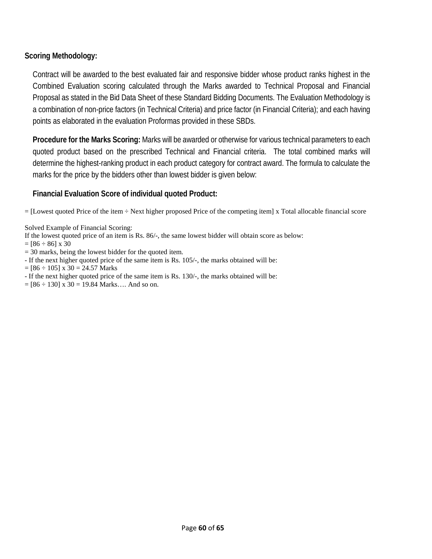## **Scoring Methodology:**

Contract will be awarded to the best evaluated fair and responsive bidder whose product ranks highest in the Combined Evaluation scoring calculated through the Marks awarded to Technical Proposal and Financial Proposal as stated in the Bid Data Sheet of these Standard Bidding Documents. The Evaluation Methodology is a combination of non-price factors (in Technical Criteria) and price factor (in Financial Criteria); and each having points as elaborated in the evaluation Proformas provided in these SBDs.

**Procedure for the Marks Scoring:** Marks will be awarded or otherwise for various technical parameters to each quoted product based on the prescribed Technical and Financial criteria. The total combined marks will determine the highest-ranking product in each product category for contract award. The formula to calculate the marks for the price by the bidders other than lowest bidder is given below:

## **Financial Evaluation Score of individual quoted Product:**

= [Lowest quoted Price of the item ÷ Next higher proposed Price of the competing item] x Total allocable financial score

Solved Example of Financial Scoring:

If the lowest quoted price of an item is Rs. 86/-, the same lowest bidder will obtain score as below:

 $=[86 \div 86] \times 30$ 

- = 30 marks, being the lowest bidder for the quoted item.
- If the next higher quoted price of the same item is Rs. 105/-, the marks obtained will be:
- $=$  [86  $\div$  105] x 30 = 24.57 Marks
- If the next higher quoted price of the same item is Rs. 130/-, the marks obtained will be:

 $=[86 \div 130]$  x 30 = 19.84 Marks.... And so on.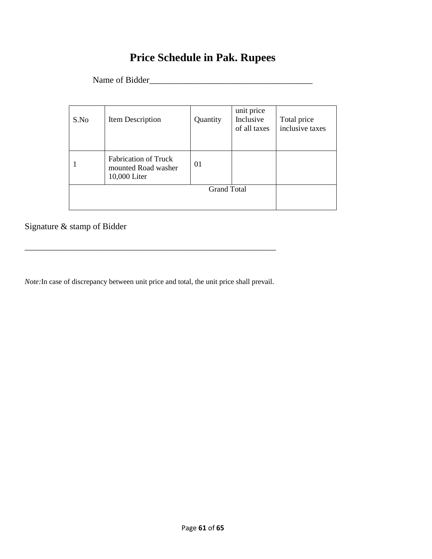## **Price Schedule in Pak. Rupees**

Name of Bidder\_\_\_\_\_\_\_\_\_\_\_\_\_\_\_\_\_\_\_\_\_\_\_\_\_\_\_\_\_\_\_\_\_\_\_\_\_

| S.No               | Item Description                                                   | Quantity | unit price<br>Inclusive<br>of all taxes | Total price<br>inclusive taxes |
|--------------------|--------------------------------------------------------------------|----------|-----------------------------------------|--------------------------------|
|                    | <b>Fabrication of Truck</b><br>mounted Road washer<br>10,000 Liter | 01       |                                         |                                |
| <b>Grand Total</b> |                                                                    |          |                                         |                                |
|                    |                                                                    |          |                                         |                                |

Signature & stamp of Bidder

*Note:*In case of discrepancy between unit price and total, the unit price shall prevail.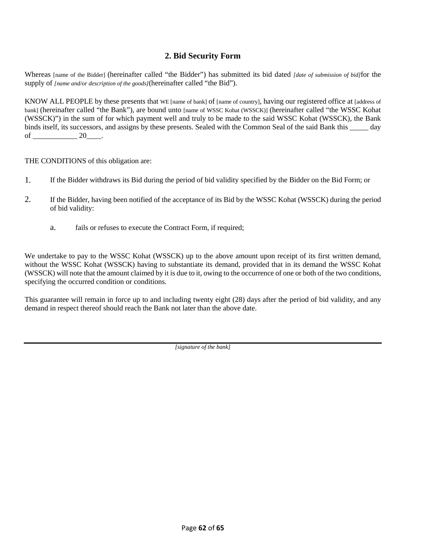### **2. Bid Security Form**

Whereas [name of the Bidder] (hereinafter called "the Bidder") has submitted its bid dated *[date of submission of bid]*for the supply of *[name and/or description of the goods]*(hereinafter called "the Bid").

KNOW ALL PEOPLE by these presents that WE [name of bank] of [name of country], having our registered office at [address of bank] (hereinafter called "the Bank"), are bound unto [name of WSSC Kohat (WSSCK)] (hereinafter called "the WSSC Kohat (WSSCK)") in the sum of for which payment well and truly to be made to the said WSSC Kohat (WSSCK), the Bank binds itself, its successors, and assigns by these presents. Sealed with the Common Seal of the said Bank this \_\_\_\_\_ day of 20  $\ldots$ 

THE CONDITIONS of this obligation are:

- 1. If the Bidder withdraws its Bid during the period of bid validity specified by the Bidder on the Bid Form; or
- 2. If the Bidder, having been notified of the acceptance of its Bid by the WSSC Kohat (WSSCK) during the period of bid validity:
	- a. fails or refuses to execute the Contract Form, if required;

We undertake to pay to the WSSC Kohat (WSSCK) up to the above amount upon receipt of its first written demand, without the WSSC Kohat (WSSCK) having to substantiate its demand, provided that in its demand the WSSC Kohat (WSSCK) will note that the amount claimed by it is due to it, owing to the occurrence of one or both of the two conditions, specifying the occurred condition or conditions.

This guarantee will remain in force up to and including twenty eight (28) days after the period of bid validity, and any demand in respect thereof should reach the Bank not later than the above date.

*[signature of the bank]*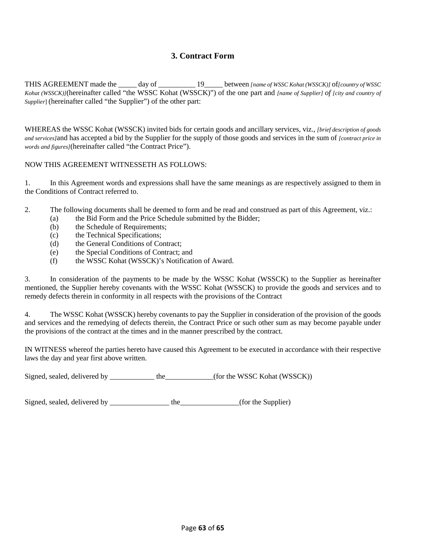### **3. Contract Form**

THIS AGREEMENT made the \_\_\_\_\_ day of \_\_\_\_\_\_\_\_\_\_ 19\_\_\_\_\_ between *[name of WSSC Kohat (WSSCK)]* of*[country of WSSC Kohat (WSSCK)]*(hereinafter called "the WSSC Kohat (WSSCK)") of the one part and *[name of Supplier] of [city and country of Supplier*] (hereinafter called "the Supplier") of the other part:

WHEREAS the WSSC Kohat (WSSCK) invited bids for certain goods and ancillary services, viz., *[brief description of goods and services]*and has accepted a bid by the Supplier for the supply of those goods and services in the sum of *[contract price in words and figures]*(hereinafter called "the Contract Price").

#### NOW THIS AGREEMENT WITNESSETH AS FOLLOWS:

1. In this Agreement words and expressions shall have the same meanings as are respectively assigned to them in the Conditions of Contract referred to.

- 2. The following documents shall be deemed to form and be read and construed as part of this Agreement, viz.:
	- (a) the Bid Form and the Price Schedule submitted by the Bidder;
	- (b) the Schedule of Requirements;
	- (c) the Technical Specifications;
	- (d) the General Conditions of Contract;
	- (e) the Special Conditions of Contract; and
	- (f) the WSSC Kohat (WSSCK)'s Notification of Award.

3. In consideration of the payments to be made by the WSSC Kohat (WSSCK) to the Supplier as hereinafter mentioned, the Supplier hereby covenants with the WSSC Kohat (WSSCK) to provide the goods and services and to remedy defects therein in conformity in all respects with the provisions of the Contract

4. The WSSC Kohat (WSSCK) hereby covenants to pay the Supplier in consideration of the provision of the goods and services and the remedying of defects therein, the Contract Price or such other sum as may become payable under the provisions of the contract at the times and in the manner prescribed by the contract.

IN WITNESS whereof the parties hereto have caused this Agreement to be executed in accordance with their respective laws the day and year first above written.

Signed, sealed, delivered by \_\_\_\_\_\_\_\_\_\_\_\_\_ the \_\_\_\_\_\_\_\_\_\_(for the WSSC Kohat (WSSCK))

Signed, sealed, delivered by the the contract of the Supplier)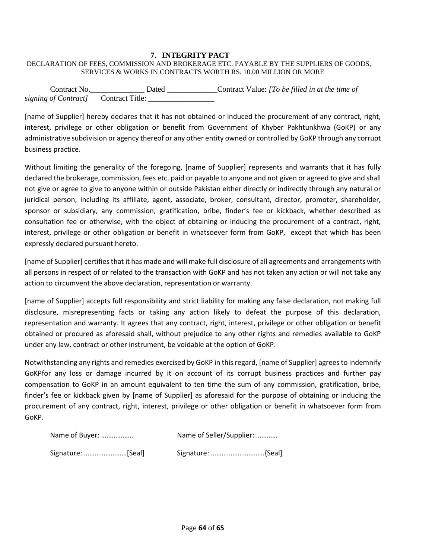#### **7. INTEGRITY PACT**

#### DECLARATION OF FEES, COMMISSION AND BROKERAGE ETC. PAYABLE BY THE SUPPLIERS OF GOODS, SERVICES & WORKS IN CONTRACTS WORTH RS. 10.00 MILLION OR MORE

Contract No.\_\_\_\_\_\_\_\_\_\_\_\_\_\_ Dated \_\_\_\_\_\_\_\_\_\_\_\_\_Contract Value: *[To be filled in at the time of signing of Contract contract* Title:

[name of Supplier] hereby declares that it has not obtained or induced the procurement of any contract, right, interest, privilege or other obligation or benefit from Government of Khyber Pakhtunkhwa (GoKP) or any administrative subdivision or agency thereof or any other entity owned or controlled by GoKP through any corrupt business practice.

Without limiting the generality of the foregoing, [name of Supplier] represents and warrants that it has fully declared the brokerage, commission, fees etc. paid or payable to anyone and not given or agreed to give and shall not give or agree to give to anyone within or outside Pakistan either directly or indirectly through any natural or juridical person, including its affiliate, agent, associate, broker, consultant, director, promoter, shareholder, sponsor or subsidiary, any commission, gratification, bribe, finder's fee or kickback, whether described as consultation fee or otherwise, with the object of obtaining or inducing the procurement of a contract, right, interest, privilege or other obligation or benefit in whatsoever form from GoKP, except that which has been expressly declared pursuant hereto.

[name of Supplier] certifies that it has made and will make full disclosure of all agreements and arrangements with all persons in respect of or related to the transaction with GoKP and has not taken any action or will not take any action to circumvent the above declaration, representation or warranty.

[name of Supplier] accepts full responsibility and strict liability for making any false declaration, not making full disclosure, misrepresenting facts or taking any action likely to defeat the purpose of this declaration, representation and warranty. It agrees that any contract, right, interest, privilege or other obligation or benefit obtained or procured as aforesaid shall, without prejudice to any other rights and remedies available to GoKP under any law, contract or other instrument, be voidable at the option of GoKP.

Notwithstanding any rights and remedies exercised by GoKP in this regard, [name of Supplier] agrees to indemnify GoKPfor any loss or damage incurred by it on account of its corrupt business practices and further pay compensation to GoKP in an amount equivalent to ten time the sum of any commission, gratification, bribe, finder's fee or kickback given by [name of Supplier] as aforesaid for the purpose of obtaining or inducing the procurement of any contract, right, interest, privilege or other obligation or benefit in whatsoever form from GoKP.

| Name of Buyer: |  | Name of Seller/Supplier: |  |  |
|----------------|--|--------------------------|--|--|
|                |  |                          |  |  |